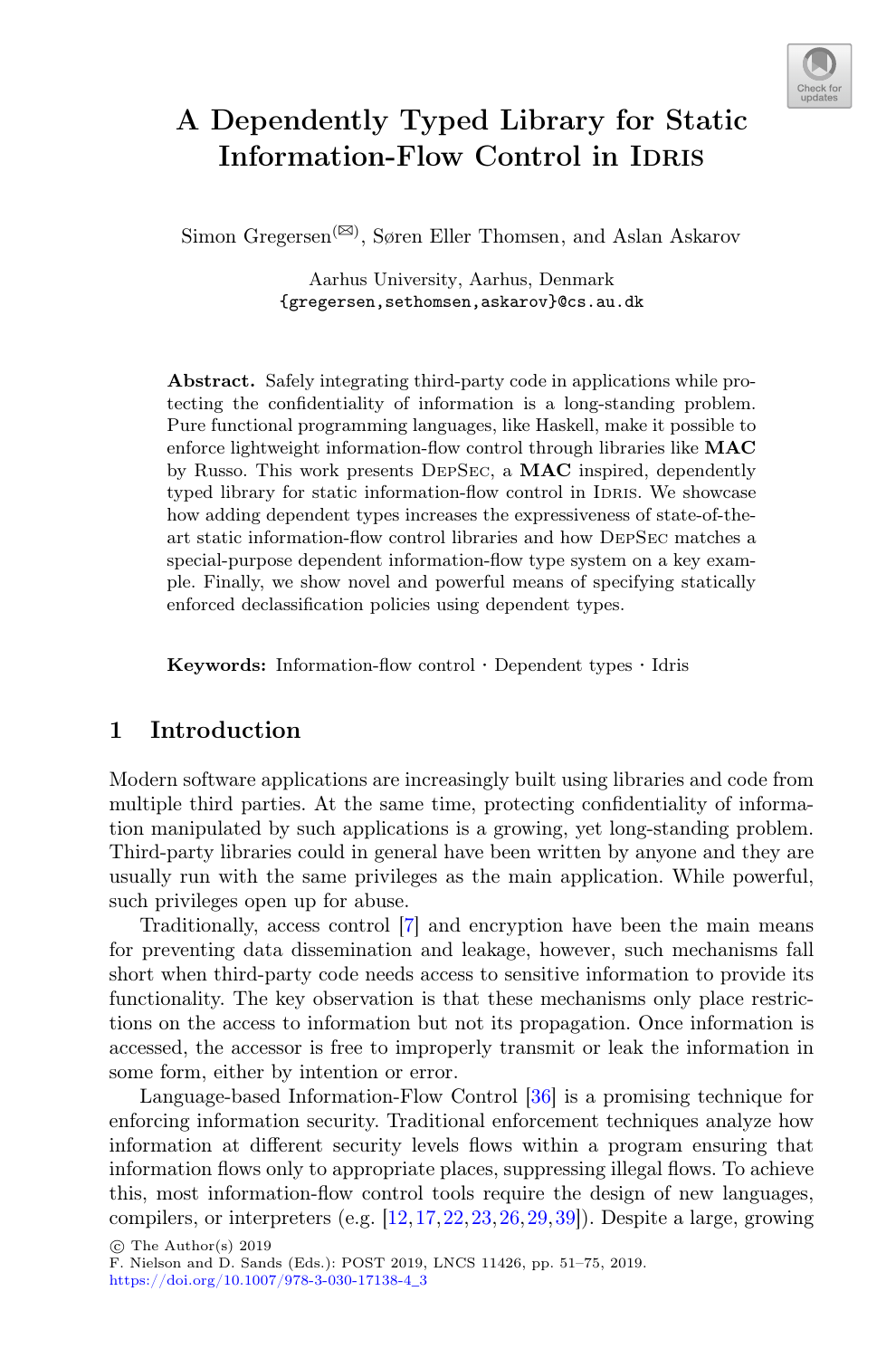

# A Dependently Typed Library for Static Information-Flow Control in IDRIS

 $\operatorname{Simon}\nolimits$  Gregersen<sup>( $\bowtie$ )</sup>, Søren Eller Thomsen, and Aslan Askarov

Aarhus University, Aarhus, Denmark {gregersen,sethomsen,askarov}@cs.au.dk

Abstract. Safely integrating third-party code in applications while protecting the confidentiality of information is a long-standing problem. Pure functional programming languages, like Haskell, make it possible to enforce lightweight information-flow control through libraries like MAC by Russo. This work presents DepSec, a MAC inspired, dependently typed library for static information-flow control in IDRIS. We showcase how adding dependent types increases the expressiveness of state-of-theart static information-flow control libraries and how DepSec matches a special-purpose dependent information-flow type system on a key example. Finally, we show novel and powerful means of specifying statically enforced declassification policies using dependent types.

Keywords: Information-flow control  $\cdot$  Dependent types  $\cdot$  Idris

### 1 Introduction

Modern software applications are increasingly built using libraries and code from multiple third parties. At the same time, protecting confidentiality of information manipulated by such applications is a growing, yet long-standing problem. Third-party libraries could in general have been written by anyone and they are usually run with the same privileges as the main application. While powerful, such privileges open up for abuse.

Traditionally, access control [\[7](#page-20-0)] and encryption have been the main means for preventing data dissemination and leakage, however, such mechanisms fall short when third-party code needs access to sensitive information to provide its functionality. The key observation is that these mechanisms only place restrictions on the access to information but not its propagation. Once information is accessed, the accessor is free to improperly transmit or leak the information in some form, either by intention or error.

Language-based Information-Flow Control [\[36\]](#page-22-0) is a promising technique for enforcing information security. Traditional enforcement techniques analyze how information at different security levels flows within a program ensuring that information flows only to appropriate places, suppressing illegal flows. To achieve this, most information-flow control tools require the design of new languages, compilers, or interpreters (e.g. [\[12](#page-20-1),[17,](#page-21-0)[22,](#page-21-1)[23](#page-21-2)[,26](#page-21-3),[29,](#page-22-1)[39](#page-22-2)]). Despite a large, growing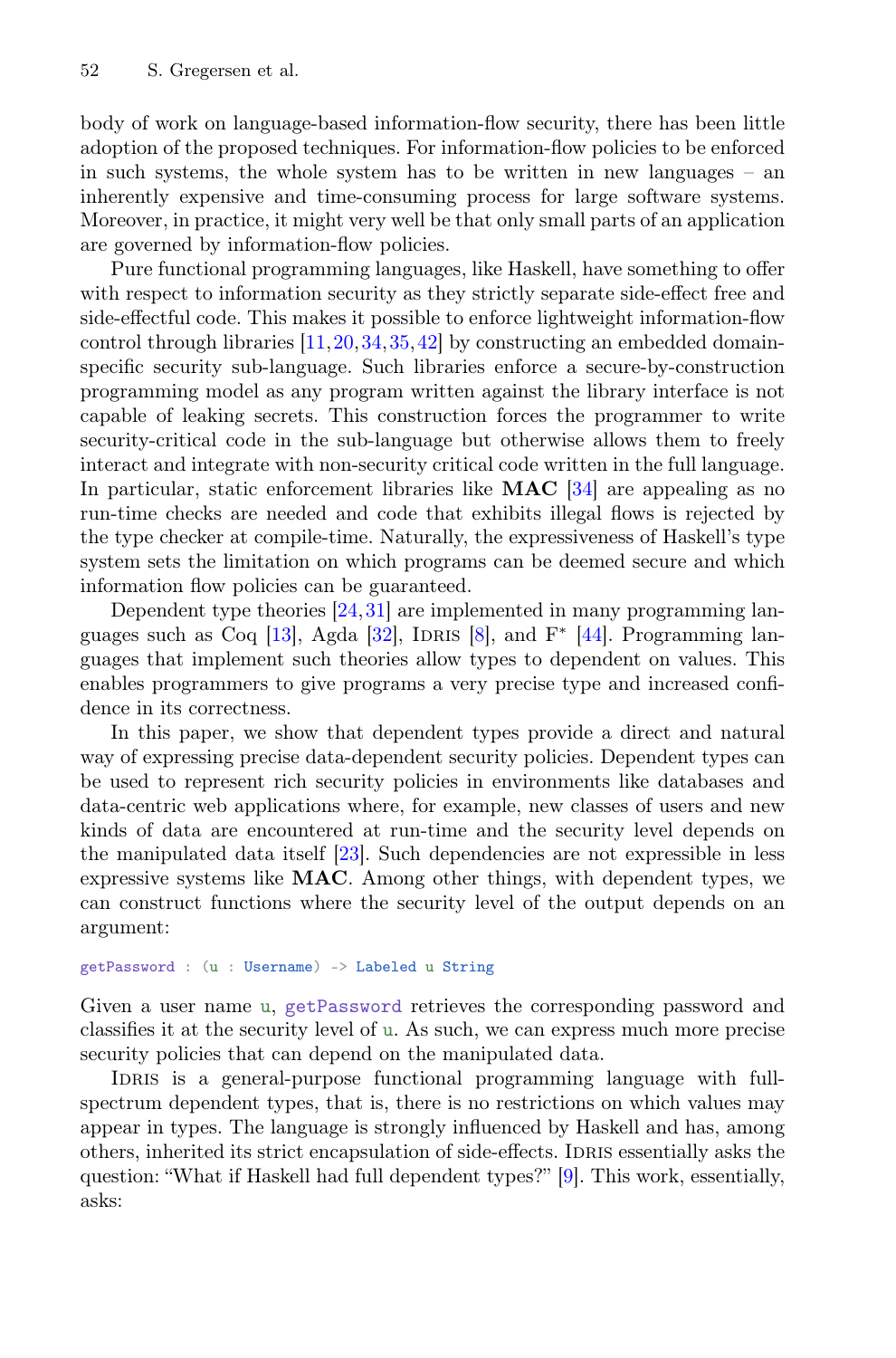body of work on language-based information-flow security, there has been little adoption of the proposed techniques. For information-flow policies to be enforced in such systems, the whole system has to be written in new languages – an inherently expensive and time-consuming process for large software systems. Moreover, in practice, it might very well be that only small parts of an application are governed by information-flow policies.

Pure functional programming languages, like Haskell, have something to offer with respect to information security as they strictly separate side-effect free and side-effectful code. This makes it possible to enforce lightweight information-flow control through libraries  $[11, 20, 34, 35, 42]$  $[11, 20, 34, 35, 42]$  $[11, 20, 34, 35, 42]$  $[11, 20, 34, 35, 42]$  $[11, 20, 34, 35, 42]$  $[11, 20, 34, 35, 42]$  $[11, 20, 34, 35, 42]$  by constructing an embedded domainspecific security sub-language. Such libraries enforce a secure-by-construction programming model as any program written against the library interface is not capable of leaking secrets. This construction forces the programmer to write security-critical code in the sub-language but otherwise allows them to freely interact and integrate with non-security critical code written in the full language. In particular, static enforcement libraries like MAC [\[34\]](#page-22-3) are appealing as no run-time checks are needed and code that exhibits illegal flows is rejected by the type checker at compile-time. Naturally, the expressiveness of Haskell's type system sets the limitation on which programs can be deemed secure and which information flow policies can be guaranteed.

Dependent type theories [\[24,](#page-21-5)[31](#page-22-6)] are implemented in many programming lan-guages such as Coq [\[13](#page-20-3)], Agda [\[32\]](#page-22-7), IDRIS [\[8\]](#page-20-4), and  $F^*$  [\[44](#page-23-0)]. Programming languages that implement such theories allow types to dependent on values. This enables programmers to give programs a very precise type and increased confidence in its correctness.

In this paper, we show that dependent types provide a direct and natural way of expressing precise data-dependent security policies. Dependent types can be used to represent rich security policies in environments like databases and data-centric web applications where, for example, new classes of users and new kinds of data are encountered at run-time and the security level depends on the manipulated data itself [\[23](#page-21-2)]. Such dependencies are not expressible in less expressive systems like MAC. Among other things, with dependent types, we can construct functions where the security level of the output depends on an argument:

#### getPassword : (u : Username) -> Labeled u String

Given a user name u, getPassword retrieves the corresponding password and classifies it at the security level of u. As such, we can express much more precise security policies that can depend on the manipulated data.

IDRIS is a general-purpose functional programming language with fullspectrum dependent types, that is, there is no restrictions on which values may appear in types. The language is strongly influenced by Haskell and has, among others, inherited its strict encapsulation of side-effects. IDRIS essentially asks the question: "What if Haskell had full dependent types?" [\[9](#page-20-5)]. This work, essentially, asks: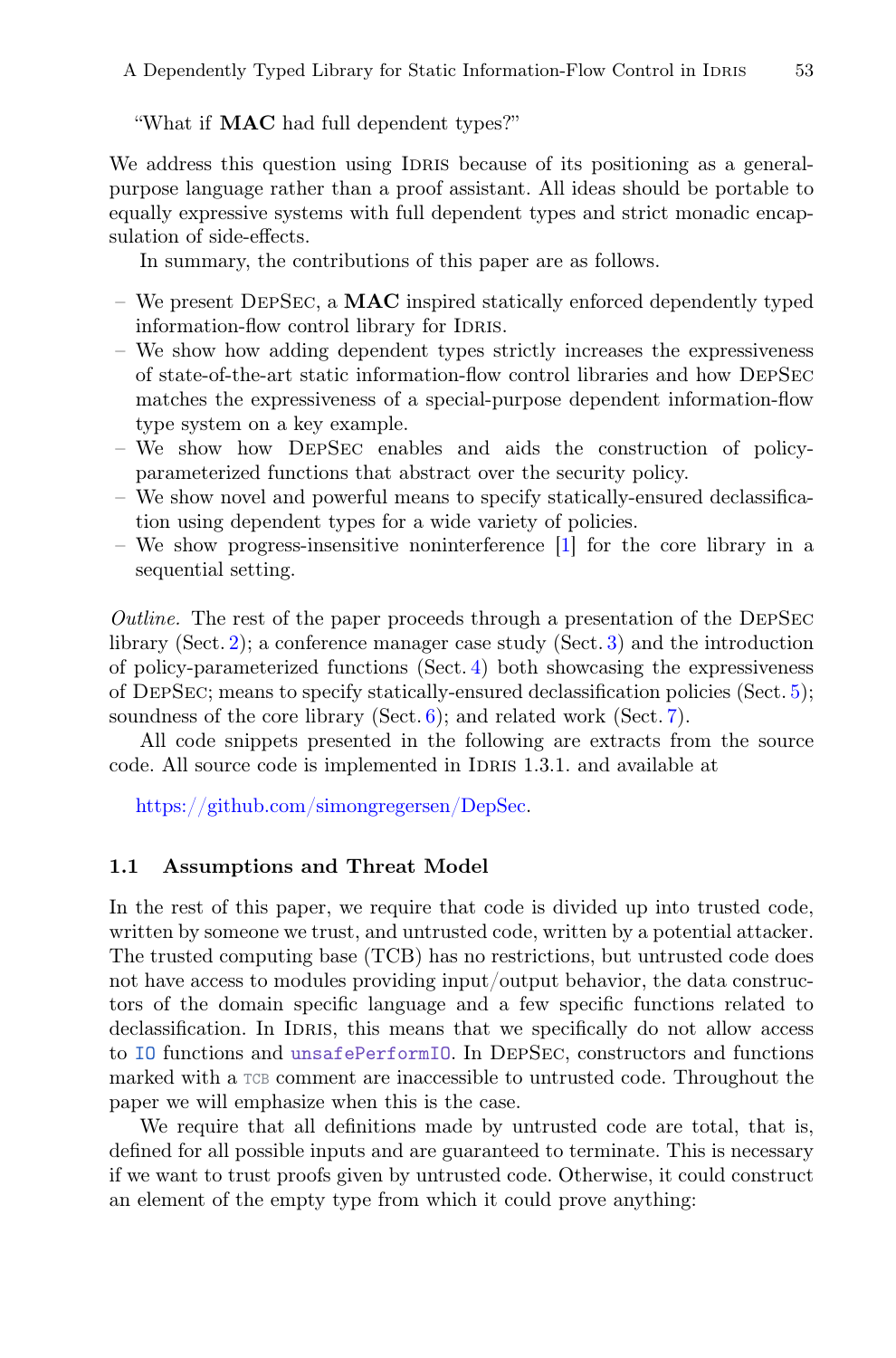"What if MAC had full dependent types?"

We address this question using IDRIS because of its positioning as a generalpurpose language rather than a proof assistant. All ideas should be portable to equally expressive systems with full dependent types and strict monadic encapsulation of side-effects.

In summary, the contributions of this paper are as follows.

- We present DEPSEC, a MAC inspired statically enforced dependently typed information-flow control library for IDRIS.
- We show how adding dependent types strictly increases the expressiveness of state-of-the-art static information-flow control libraries and how DepSec matches the expressiveness of a special-purpose dependent information-flow type system on a key example.
- We show how DepSec enables and aids the construction of policyparameterized functions that abstract over the security policy.
- We show novel and powerful means to specify statically-ensured declassification using dependent types for a wide variety of policies.
- We show progress-insensitive noninterference [\[1](#page-20-6)] for the core library in a sequential setting.

*Outline.* The rest of the paper proceeds through a presentation of the DEPSEC library (Sect. [2\)](#page-3-0); a conference manager case study (Sect. [3\)](#page-6-0) and the introduction of policy-parameterized functions (Sect. [4\)](#page-8-0) both showcasing the expressiveness of DepSec; means to specify statically-ensured declassification policies (Sect. [5\)](#page-10-0); soundness of the core library (Sect.  $6$ ); and related work (Sect. [7\)](#page-17-0).

All code snippets presented in the following are extracts from the source code. All source code is implemented in IDRIS 1.3.1. and available at

[https://github.com/simongregersen/DepSec.](https://github.com/simongregersen/DepSec)

#### 1.1 Assumptions and Threat Model

In the rest of this paper, we require that code is divided up into trusted code, written by someone we trust, and untrusted code, written by a potential attacker. The trusted computing base (TCB) has no restrictions, but untrusted code does not have access to modules providing input/output behavior, the data constructors of the domain specific language and a few specific functions related to declassification. In IDRIS, this means that we specifically do not allow access to IO functions and unsafePerformIO. In DepSec, constructors and functions marked with a TCB comment are inaccessible to untrusted code. Throughout the paper we will emphasize when this is the case.

We require that all definitions made by untrusted code are total, that is, defined for all possible inputs and are guaranteed to terminate. This is necessary if we want to trust proofs given by untrusted code. Otherwise, it could construct an element of the empty type from which it could prove anything: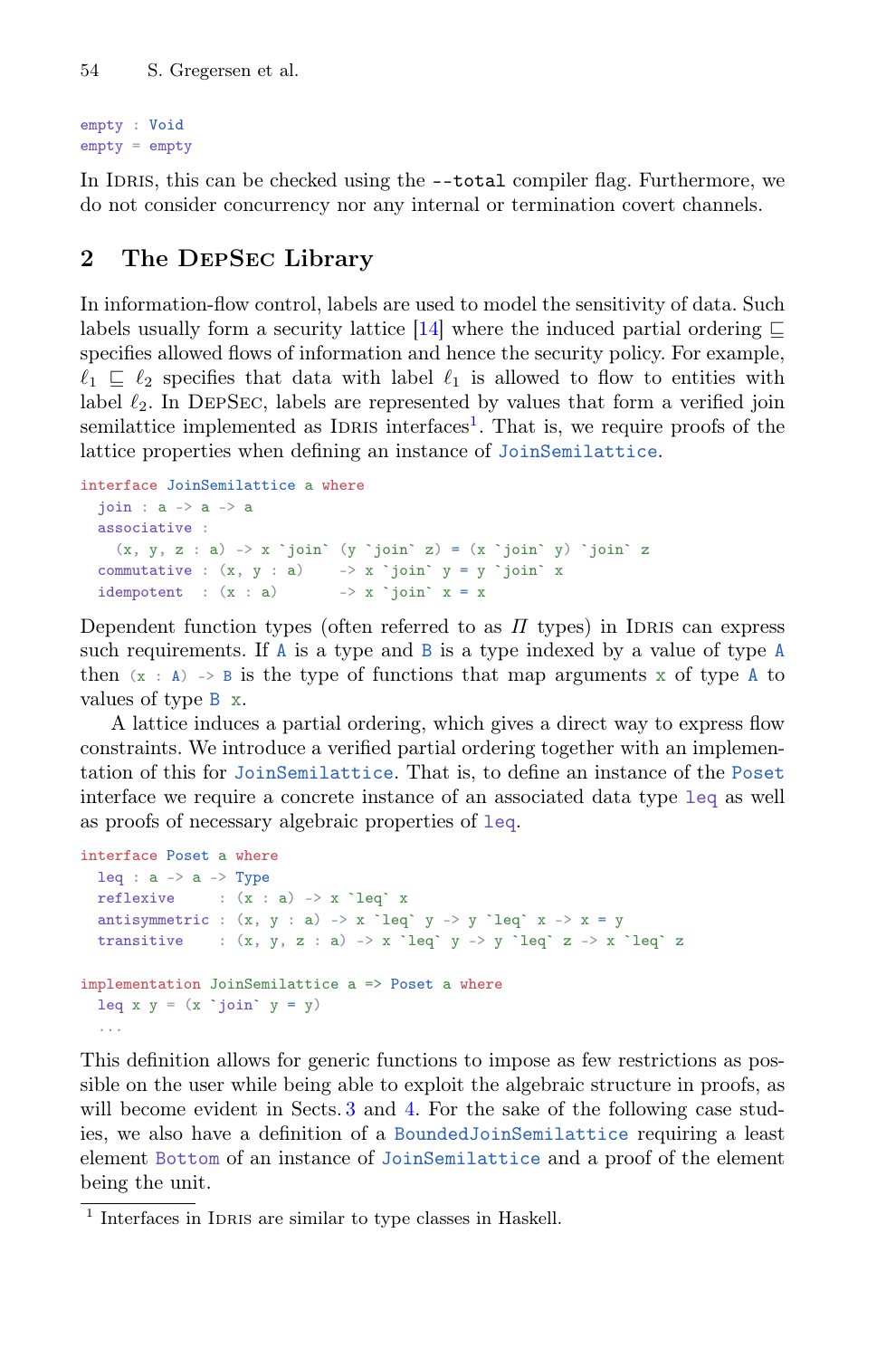empty : Void  $empty = empty$ 

In IDRIS, this can be checked using the  $-$ -total compiler flag. Furthermore, we do not consider concurrency nor any internal or termination covert channels.

# <span id="page-3-0"></span>2 The DepSec Library

In information-flow control, labels are used to model the sensitivity of data. Such labels usually form a security lattice  $[14]$  $[14]$  where the induced partial ordering  $\sqsubseteq$ specifies allowed flows of information and hence the security policy. For example,  $\ell_1 \subseteq \ell_2$  specifies that data with label  $\ell_1$  is allowed to flow to entities with label  $\ell_2$ . In DEPSEC, labels are represented by values that form a verified join semilattice implemented as IDRIS interfaces<sup>[1](#page-3-1)</sup>. That is, we require proofs of the lattice properties when defining an instance of JoinSemilattice.

```
interface JoinSemilattice a where
 join : a \rightarrow a \rightarrow aassociative :
    (x, y, z : a) \rightarrow x 'join' (y 'join' z) = (x 'join' y) 'join' z
 commutative : (x, y : a) \rightarrow x 'join' y = y 'join' x
 idempotent : (x : a) -> x `join` x = x
```
Dependent function types (often referred to as  $\Pi$  types) in IDRIS can express such requirements. If A is a type and B is a type indexed by a value of type A then  $(x : A) \rightarrow B$  is the type of functions that map arguments x of type A to values of type B x.

A lattice induces a partial ordering, which gives a direct way to express flow constraints. We introduce a verified partial ordering together with an implementation of this for JoinSemilattice. That is, to define an instance of the Poset interface we require a concrete instance of an associated data type leq as well as proofs of necessary algebraic properties of leq.

```
interface Poset a where
  leq : a \rightarrow a \rightarrow Typereflexive : (x : a) \rightarrow x 'leq' x
  antisymmetric : (x, y : a) \rightarrow x 'leq' y \rightarrow y 'leq' x \rightarrow x = ytransitive : (x, y, z : a) \rightarrow x 'leq' y -> y 'leq' z -> x 'leq' z
implementation JoinSemilattice a => Poset a where
  leq x y = (x \text{ 'join' } y = y)...
```
This definition allows for generic functions to impose as few restrictions as possible on the user while being able to exploit the algebraic structure in proofs, as will become evident in Sects. [3](#page-6-0) and [4.](#page-8-0) For the sake of the following case studies, we also have a definition of a BoundedJoinSemilattice requiring a least element Bottom of an instance of JoinSemilattice and a proof of the element being the unit.

<span id="page-3-1"></span> $^{\rm 1}$  Interfaces in IDRIS are similar to type classes in Haskell.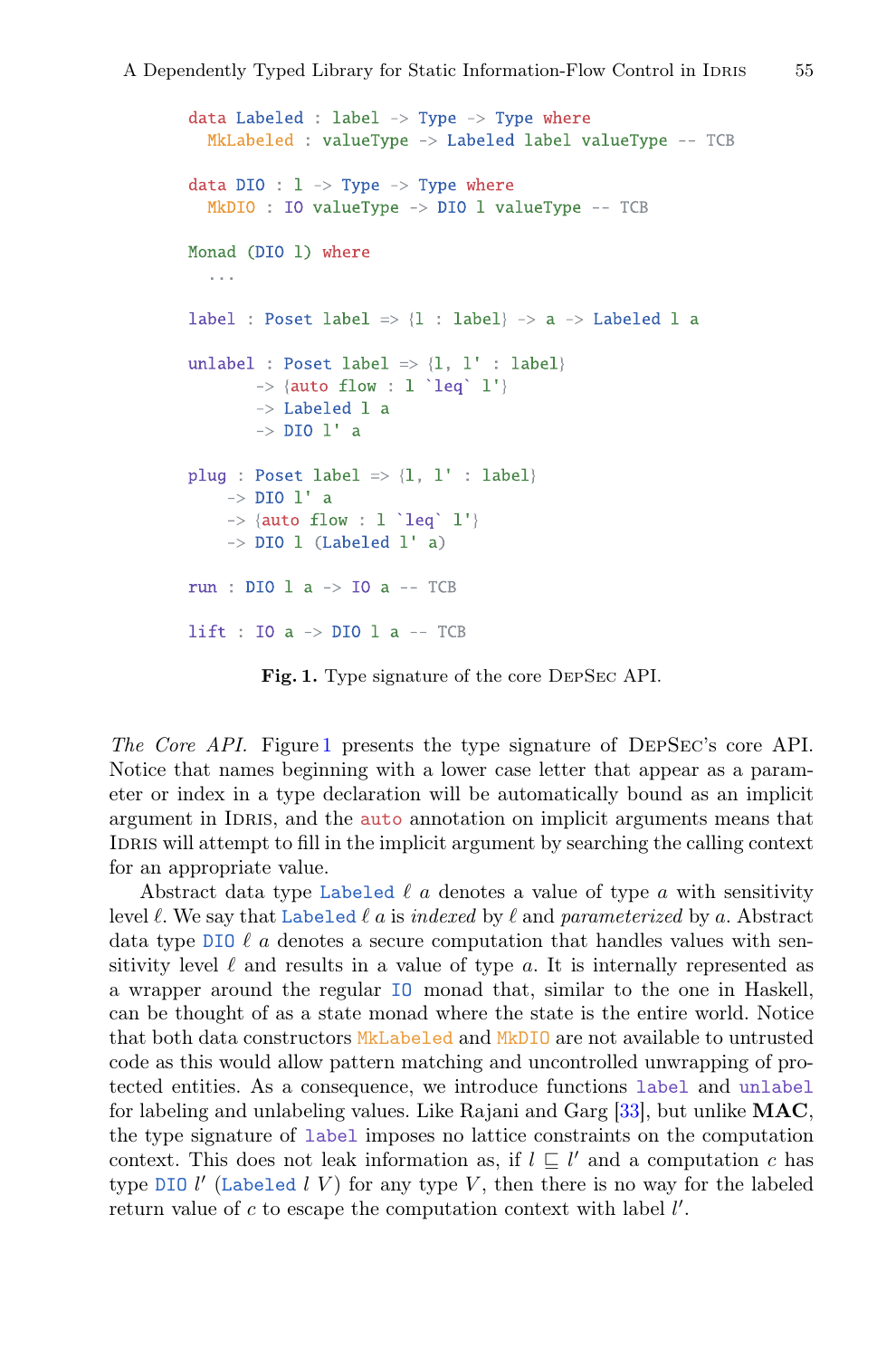```
data Labeled : label \rightarrow Type \rightarrow Type where
  MkLabeled : valueType -> Labeled label valueType -- TCB
data DIO: 1 \rightarrow Twoe \rightarrow Twoe whereMkDIO : IO valueType \rightarrow DIO 1 valueType \rightarrow TCB
Monad (DIO 1) where
  \sim 100label : Poset label => {1 : label} -> a -> Labeled 1 a
unlabel : Poset label => \{1, 1' : label\}\rightarrow {auto flow : l `leq` l'}
         \rightarrow Labeled 1 a
        \rightarrow DIO 1' a
plug : Poset label => \{1, 1' : label\}\rightarrow DIO 1' a
     \rightarrow {auto flow : 1 `leq` 1'}
     \rightarrow DIO 1 (Labeled 1' a)
run : DIO 1 a \rightarrow IO a \rightarrow TCB
lift : IO a \rightarrow DIO 1 a -- TCB
```
<span id="page-4-0"></span>Fig. 1. Type signature of the core DepSec API.

*The Core API.* Figure [1](#page-4-0) presents the type signature of DEPSEC's core API. Notice that names beginning with a lower case letter that appear as a parameter or index in a type declaration will be automatically bound as an implicit argument in IDRIS, and the auto annotation on implicit arguments means that IDRIS will attempt to fill in the implicit argument by searching the calling context for an appropriate value.

Abstract data type Labeled  $\ell$  a denotes a value of type a with sensitivity level  $\ell$ . We say that Labeled  $\ell$  a is *indexed* by  $\ell$  and *parameterized* by a. Abstract data type DIO  $\ell$  a denotes a secure computation that handles values with sensitivity level  $\ell$  and results in a value of type  $a$ . It is internally represented as a wrapper around the regular IO monad that, similar to the one in Haskell, can be thought of as a state monad where the state is the entire world. Notice that both data constructors MkLabeled and MkDIO are not available to untrusted code as this would allow pattern matching and uncontrolled unwrapping of protected entities. As a consequence, we introduce functions label and unlabel for labeling and unlabeling values. Like Rajani and Garg [\[33\]](#page-22-8), but unlike MAC, the type signature of label imposes no lattice constraints on the computation context. This does not leak information as, if  $l \subseteq l'$  and a computation c has type DIO  $l'$  (Labeled  $l'V$ ) for any type  $V$ , then there is no way for the labeled return value of  $c$  to escape the computation context with label  $l'$ .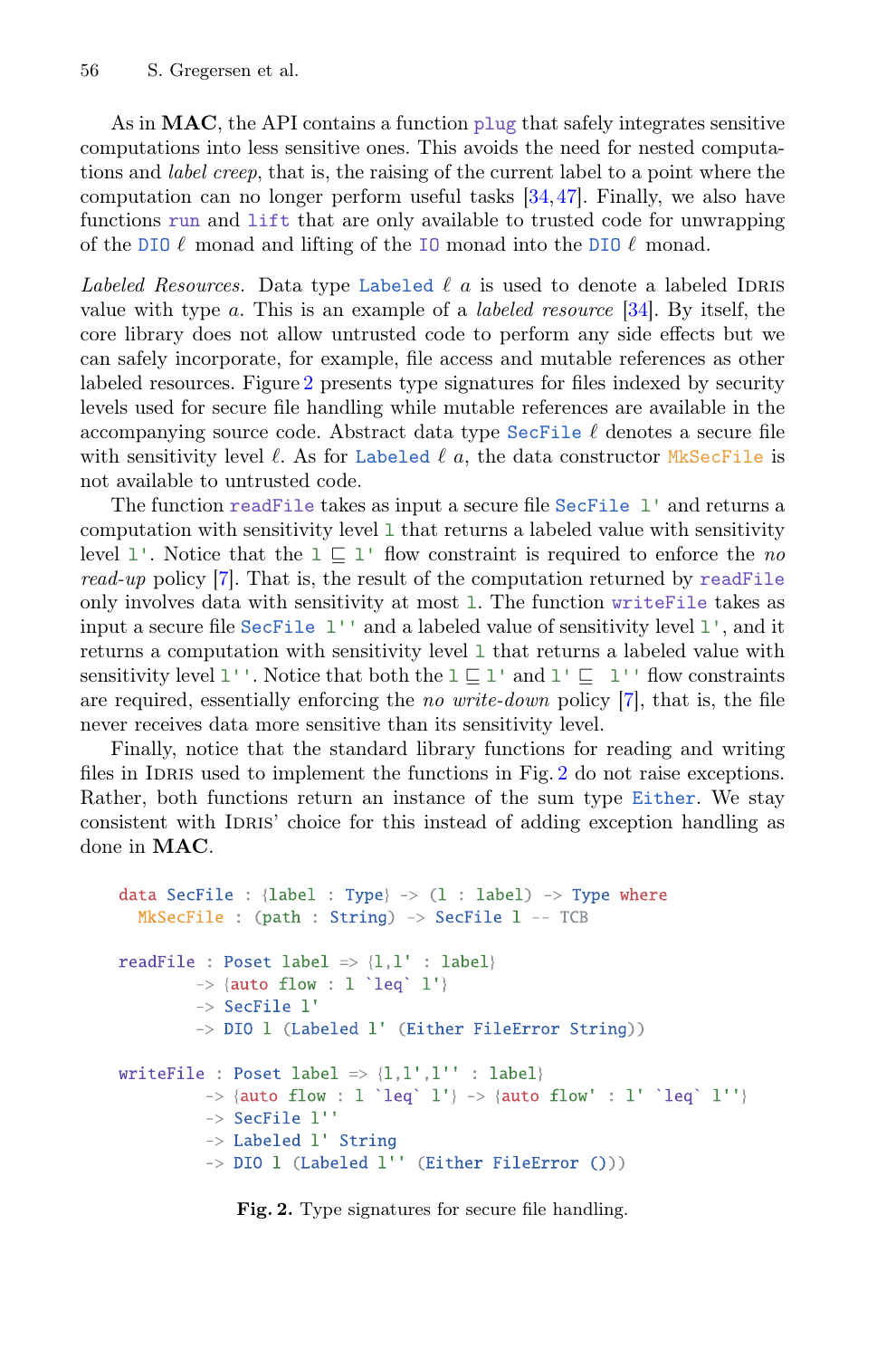As in MAC, the API contains a function plug that safely integrates sensitive computations into less sensitive ones. This avoids the need for nested computations and *label creep*, that is, the raising of the current label to a point where the computation can no longer perform useful tasks [\[34](#page-22-3)[,47](#page-23-1)]. Finally, we also have functions run and lift that are only available to trusted code for unwrapping of the DIO  $\ell$  monad and lifting of the IO monad into the DIO  $\ell$  monad.

Labeled Resources. Data type Labeled  $\ell$  *a* is used to denote a labeled IDRIS value with type a. This is an example of a *labeled resource* [\[34](#page-22-3)]. By itself, the core library does not allow untrusted code to perform any side effects but we can safely incorporate, for example, file access and mutable references as other labeled resources. Figure [2](#page-5-0) presents type signatures for files indexed by security levels used for secure file handling while mutable references are available in the accompanying source code. Abstract data type  $\texttt{SecFile}~\ell$  denotes a secure file with sensitivity level  $\ell$ . As for Labeled  $\ell$  a, the data constructor  $MkSecFile$  is not available to untrusted code.

The function readFile takes as input a secure file SecFile l' and returns a computation with sensitivity level l that returns a labeled value with sensitivity level 1'. Notice that the  $1 \subseteq 1$ ' flow constraint is required to enforce the *no read-up* policy [\[7](#page-20-0)]. That is, the result of the computation returned by readFile only involves data with sensitivity at most l. The function writeFile takes as input a secure file SecFile l'' and a labeled value of sensitivity level l', and it returns a computation with sensitivity level l that returns a labeled value with sensitivity level  $1'$ '. Notice that both the  $1 \sqsubseteq 1'$  and  $1' \sqsubseteq 1'$ ' flow constraints are required, essentially enforcing the *no write-down* policy [\[7](#page-20-0)], that is, the file never receives data more sensitive than its sensitivity level.

Finally, notice that the standard library functions for reading and writing files in IDRIS used to implement the functions in Fig. [2](#page-5-0) do not raise exceptions. Rather, both functions return an instance of the sum type Either. We stay consistent with Idris' choice for this instead of adding exception handling as done in MAC.

```
data SecFile : {label : Type} \rightarrow (1 : label) \rightarrow Type where
  MkSecFile : (path : String) -> SecFile 1 -- TCB
readFile : Poset label => \{1, 1' : label\}\rightarrow {auto flow : 1 'leq' 1'}
         -> SecFile 1'
         -> DIO 1 (Labeled 1' (Either FileError String))
writeFile : Poset label => \{1,1',1'' : \text{label}\}\Rightarrow {auto flow : 1 'leq' 1'} \Rightarrow {auto flow' : 1' 'leq' 1''}
          \rightarrow SecFile 1''\rightarrow Labeled 1' String
          -> DIO 1 (Labeled 1'' (Either FileError ()))
```
<span id="page-5-0"></span>Fig. 2. Type signatures for secure file handling.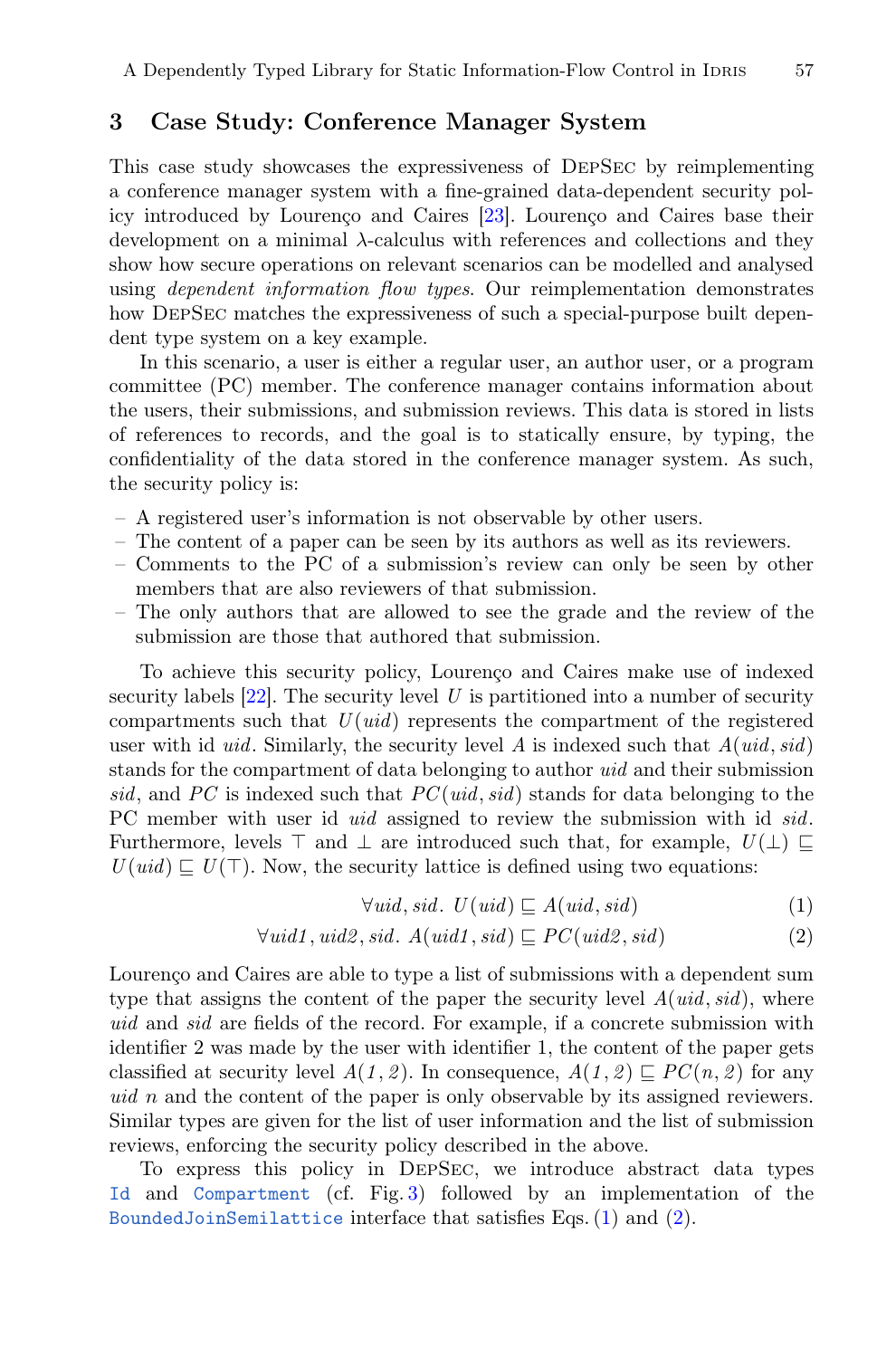### <span id="page-6-0"></span>3 Case Study: Conference Manager System

This case study showcases the expressiveness of DepSec by reimplementing a conference manager system with a fine-grained data-dependent security policy introduced by Lourenço and Caires [\[23\]](#page-21-2). Lourenço and Caires base their development on a minimal λ-calculus with references and collections and they show how secure operations on relevant scenarios can be modelled and analysed using *dependent information flow types*. Our reimplementation demonstrates how DEPSEC matches the expressiveness of such a special-purpose built dependent type system on a key example.

In this scenario, a user is either a regular user, an author user, or a program committee (PC) member. The conference manager contains information about the users, their submissions, and submission reviews. This data is stored in lists of references to records, and the goal is to statically ensure, by typing, the confidentiality of the data stored in the conference manager system. As such, the security policy is:

- A registered user's information is not observable by other users.
- The content of a paper can be seen by its authors as well as its reviewers.
- Comments to the PC of a submission's review can only be seen by other members that are also reviewers of that submission.
- The only authors that are allowed to see the grade and the review of the submission are those that authored that submission.

To achieve this security policy, Lourenço and Caires make use of indexed security labels [\[22\]](#page-21-1). The security level *U* is partitioned into a number of security compartments such that *U* (*uid*) represents the compartment of the registered user with id *uid*. Similarly, the security level *A* is indexed such that *A*(*uid*, *sid*) stands for the compartment of data belonging to author *uid* and their submission *sid*, and *PC* is indexed such that *PC* (*uid*, *sid*) stands for data belonging to the PC member with user id *uid* assigned to review the submission with id *sid*. Furthermore, levels  $\top$  and  $\bot$  are introduced such that, for example,  $U(\bot) \sqsubseteq$  $U(\mathit{uid})\sqsubseteq\mathit{U}(\top).$  Now, the security lattice is defined using two equations:

<span id="page-6-2"></span><span id="page-6-1"></span>
$$
\forall uid, sid.  $U(uid) \sqsubseteq A(uid, sid)$  (1)
$$

$$
\forall u id1, u id2, sid. A(uid1, sid) \sqsubseteq PC(uid2, sid)
$$
 (2)

Lourenço and Caires are able to type a list of submissions with a dependent sum type that assigns the content of the paper the security level *A*(*uid*, *sid*), where *uid* and *sid* are fields of the record. For example, if a concrete submission with identifier 2 was made by the user with identifier 1, the content of the paper gets classified at security level  $A(1, 2)$ . In consequence,  $A(1, 2) \sqsubseteq PC(n, 2)$  for any *uid* n and the content of the paper is only observable by its assigned reviewers. Similar types are given for the list of user information and the list of submission reviews, enforcing the security policy described in the above.

To express this policy in DepSec, we introduce abstract data types Id and Compartment (cf. Fig. [3\)](#page-7-0) followed by an implementation of the BoundedJoinSemilattice interface that satisfies Eqs. [\(1\)](#page-6-1) and [\(2\)](#page-6-2).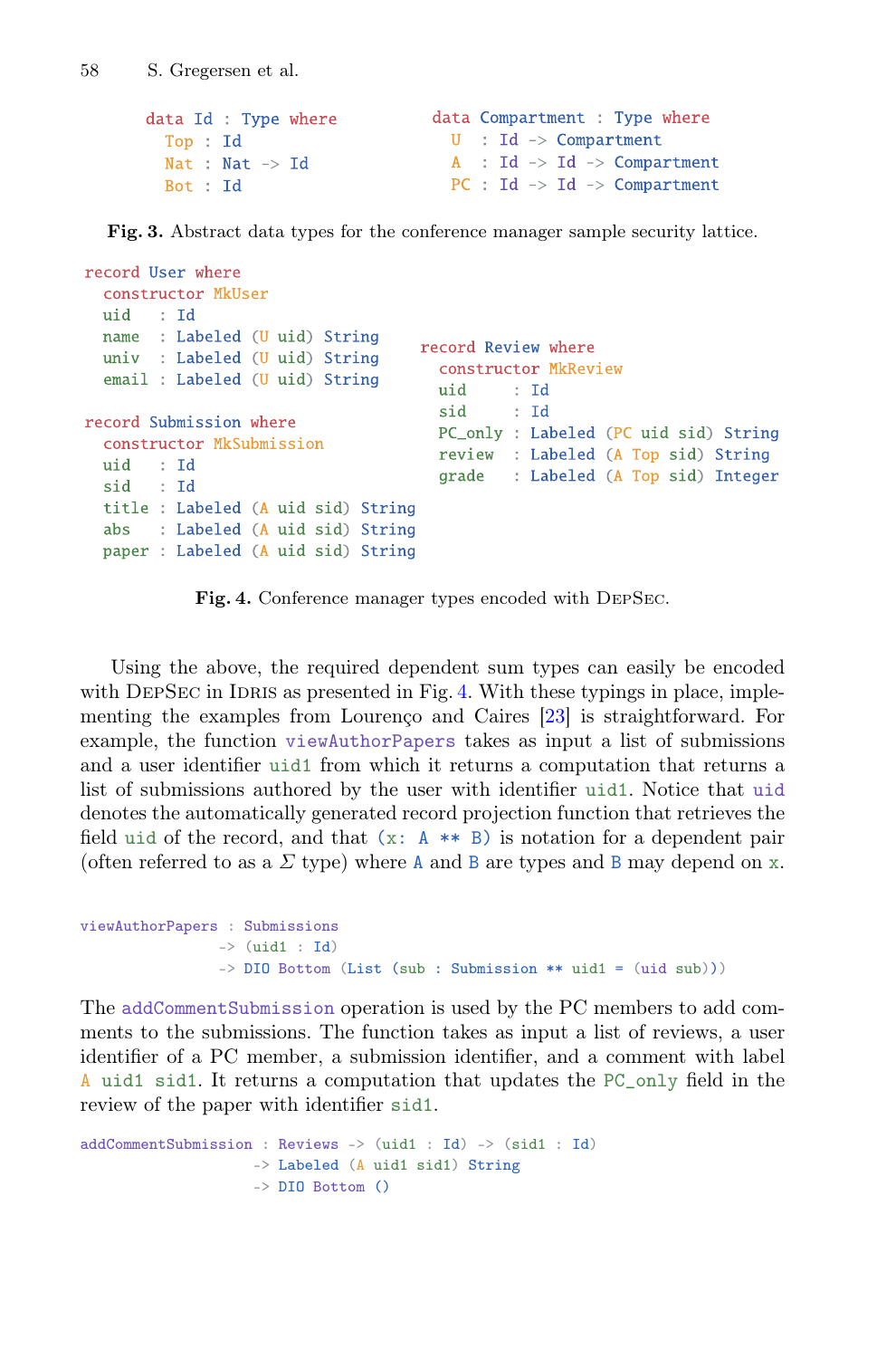58 S. Gregersen et al.

<span id="page-7-0"></span>

|          | data Id : Type where       |  |  | data Compartment : Type where                        |
|----------|----------------------------|--|--|------------------------------------------------------|
| Top: Id  |                            |  |  | $U$ : Id $\rightarrow$ Compartment                   |
|          | Nat : Nat $\rightarrow$ Id |  |  | $A : Id \rightarrow Id \rightarrow$ Compartment      |
| Rot : Td |                            |  |  | $PC$ : Id $\rightarrow$ Id $\rightarrow$ Compartment |

Fig. 3. Abstract data types for the conference manager sample security lattice.

```
record User where
  constructor MkUser
       \therefore Id
 uid
 name : Labeled (U uid) String
                                     record Review where
  univ : Labeled (U uid) String
                                        constructor MkReview
  email: Labeled (U uid) String
                                               \therefore Id
                                       uid
                                        sid
                                               \therefore Id
record Submission where
                                       PC_only : Labeled (PC uid sid) String
  constructor MkSubmission
                                       review : Labeled (A Top sid) String
 uid: Id
                                        grade : Labeled (A Top sid) Integer
 sid : Id
  title : Labeled (A uid sid) String
  abs : Labeled (A uid sid) String
 paper : Labeled (A uid sid) String
```
<span id="page-7-1"></span>Fig. 4. Conference manager types encoded with DepSec.

Using the above, the required dependent sum types can easily be encoded with  $\text{DEPSEC}$  in IDRIS as presented in Fig. [4.](#page-7-1) With these typings in place, implementing the examples from Lourenço and Caires [\[23](#page-21-2)] is straightforward. For example, the function viewAuthorPapers takes as input a list of submissions and a user identifier uid1 from which it returns a computation that returns a list of submissions authored by the user with identifier uid1. Notice that uid denotes the automatically generated record projection function that retrieves the field uid of the record, and that  $(x: A ** B)$  is notation for a dependent pair (often referred to as a  $\Sigma$  type) where A and B are types and B may depend on x.

```
viewAuthorPapers : Submissions
                   \rightarrow (uid1 : Id)
                   \rightarrow DIO Bottom (List (sub : Submission ** uid1 = (uid sub)))
```
The addCommentSubmission operation is used by the PC members to add comments to the submissions. The function takes as input a list of reviews, a user identifier of a PC member, a submission identifier, and a comment with label A uid1 sid1. It returns a computation that updates the PC\_only field in the review of the paper with identifier sid1.

```
addCommentSubmission : Reviews -> (uid1 : Id) -> (sid1 : Id)
                     -> Labeled (A uid1 sid1) String
                     \rightarrow DIO Bottom ()
```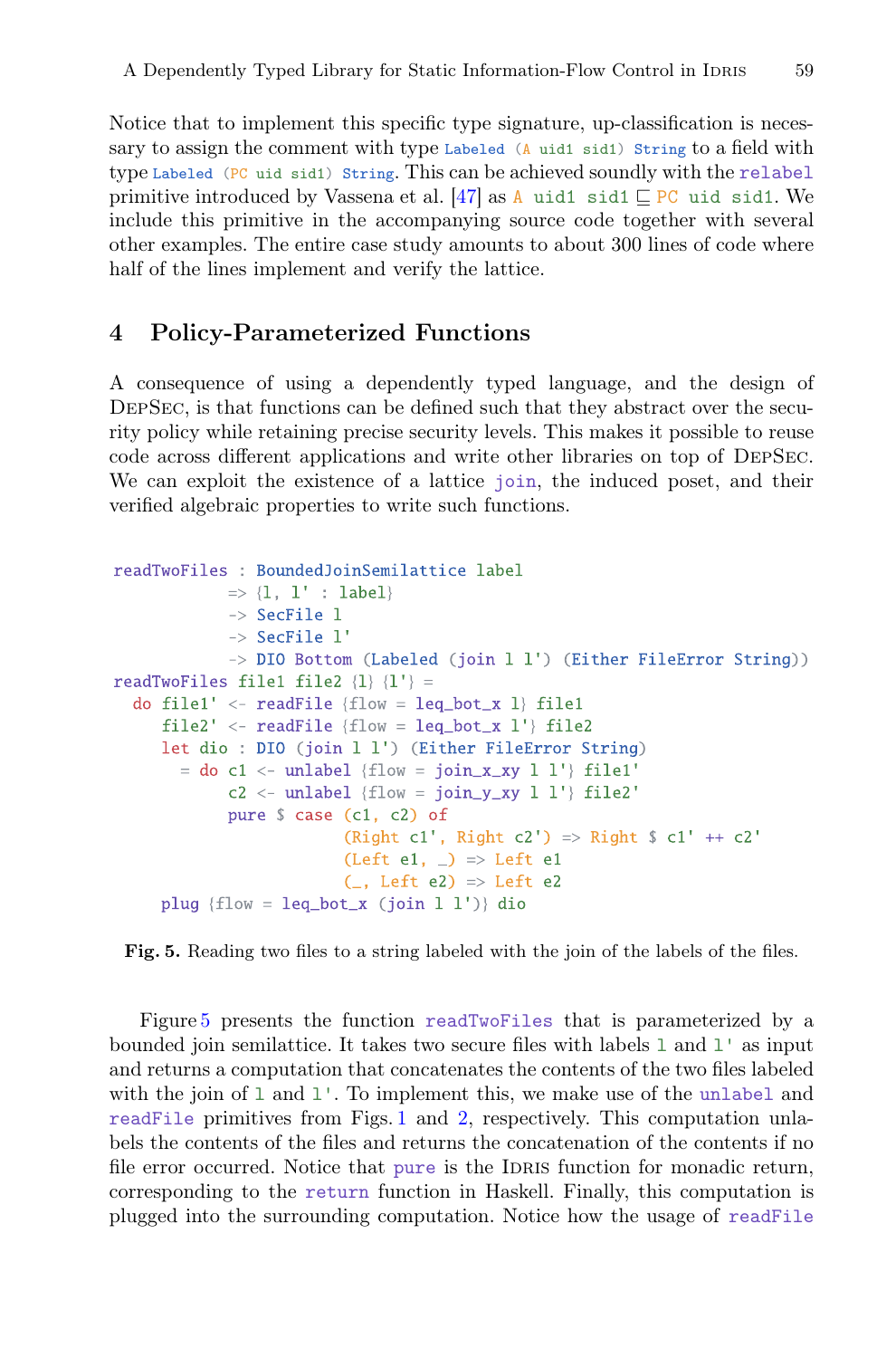Notice that to implement this specific type signature, up-classification is necessary to assign the comment with type Labeled (A uid1 sid1) String to a field with type Labeled (PC uid sid1) String. This can be achieved soundly with the relabel primitive introduced by Vassena et al.  $\left[47\right]$  as  $\mathbb{A}$  uid1 sid1  $\sqsubseteq$  PC uid sid1. We include this primitive in the accompanying source code together with several other examples. The entire case study amounts to about 300 lines of code where half of the lines implement and verify the lattice.

#### <span id="page-8-0"></span>4 Policy-Parameterized Functions

A consequence of using a dependently typed language, and the design of DepSec, is that functions can be defined such that they abstract over the security policy while retaining precise security levels. This makes it possible to reuse code across different applications and write other libraries on top of DepSec. We can exploit the existence of a lattice join, the induced poset, and their verified algebraic properties to write such functions.

```
readTwoFiles : BoundedJoinSemilattice label
            \Rightarrow {1, 1' : label}
            -> SecFile 1
            -> SecFile 1'
            -> DIO Bottom (Labeled (join 1 1') (Either FileError String))
readTwoFiles file1 file2 \{1\} \{1'\} =
  do file1' \le- readFile {flow = leq_bot_x l} file1
     file2' \leftarrow readFile {flow = leq_bot_x l'} file2
     let dio : DIO (join 1 1') (Either FileError String)
       = do c1 <- unlabel {flow = join_x_xy l l'} file1'
            c2 \le - unlabel {flow = join_y_xy 1 1'} file2'
            pure $ case (c1, c2) of
                         (Right c1', Right c2') => Right $c1' ++ c2'(Left e1, \Box) => Left e1
                         (\_, Left e2) => Left e2
     plug {flow = leq_bot_x (join 1 1')} dio
```
<span id="page-8-1"></span>Fig. 5. Reading two files to a string labeled with the join of the labels of the files.

Figure [5](#page-8-1) presents the function readTwoFiles that is parameterized by a bounded join semilattice. It takes two secure files with labels  $1$  and  $1'$  as input and returns a computation that concatenates the contents of the two files labeled with the join of 1 and 1'. To implement this, we make use of the unlabel and readFile primitives from Figs. [1](#page-4-0) and [2,](#page-5-0) respectively. This computation unlabels the contents of the files and returns the concatenation of the contents if no file error occurred. Notice that pure is the IDRIS function for monadic return, corresponding to the return function in Haskell. Finally, this computation is plugged into the surrounding computation. Notice how the usage of readFile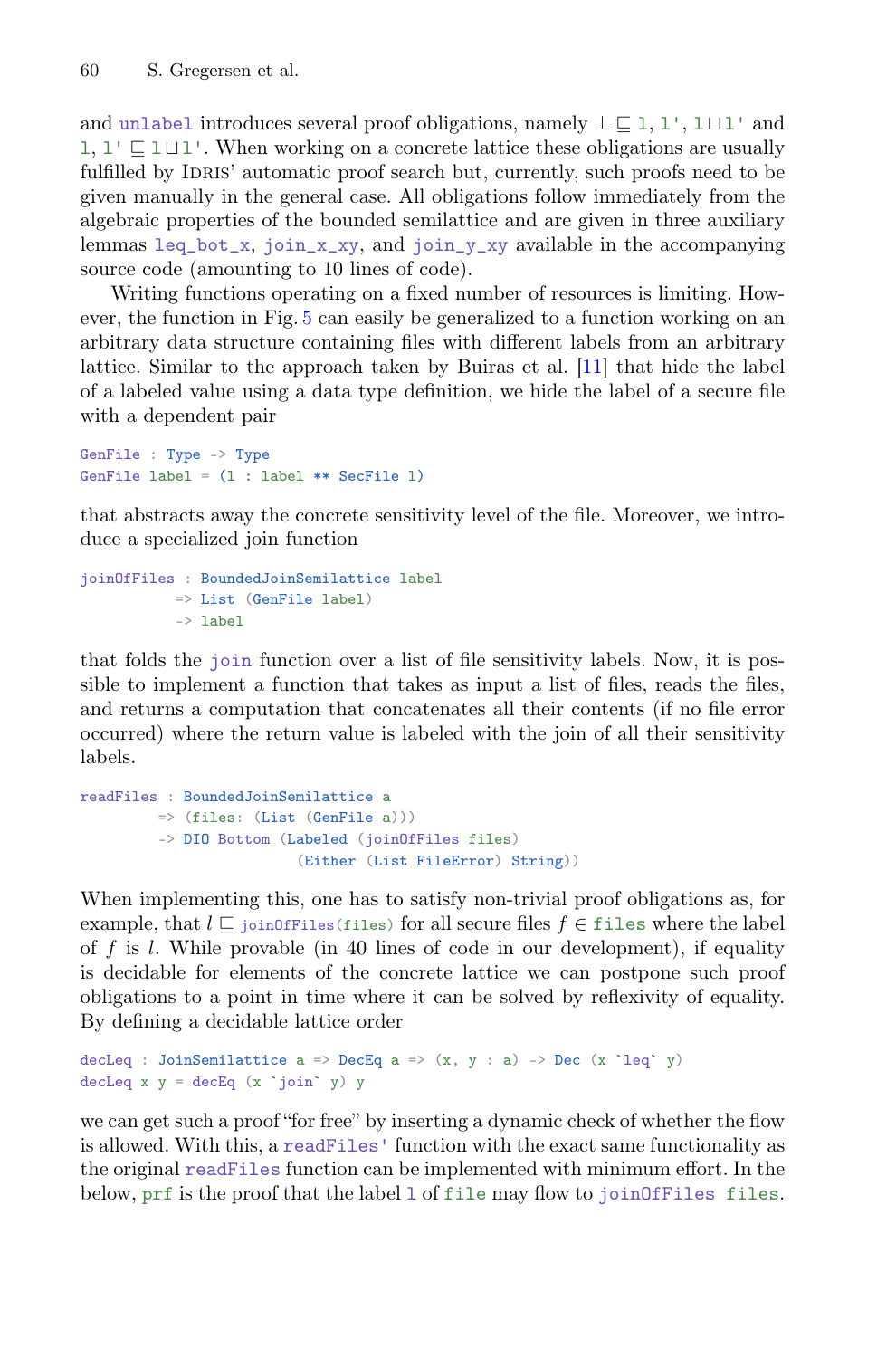and unlabel introduces several proof obligations, namely  $\bot \sqsubseteq 1, 1', 1 \sqcup 1'$  and  $1, 1' \sqsubseteq 1 \sqcup 1'$ . When working on a concrete lattice these obligations are usually fulfilled by IDRIS' automatic proof search but, currently, such proofs need to be given manually in the general case. All obligations follow immediately from the algebraic properties of the bounded semilattice and are given in three auxiliary lemmas leq\_bot\_x, join\_x\_xy, and join\_y\_xy available in the accompanying source code (amounting to 10 lines of code).

Writing functions operating on a fixed number of resources is limiting. However, the function in Fig. [5](#page-8-1) can easily be generalized to a function working on an arbitrary data structure containing files with different labels from an arbitrary lattice. Similar to the approach taken by Buiras et al. [\[11\]](#page-20-2) that hide the label of a labeled value using a data type definition, we hide the label of a secure file with a dependent pair

```
GenFile : Type -> Type
GenFile label = (l : label ** SecFile l)
```
that abstracts away the concrete sensitivity level of the file. Moreover, we introduce a specialized join function

```
joinOfFiles : BoundedJoinSemilattice label
          => List (GenFile label)
          -> label
```
that folds the join function over a list of file sensitivity labels. Now, it is possible to implement a function that takes as input a list of files, reads the files, and returns a computation that concatenates all their contents (if no file error occurred) where the return value is labeled with the join of all their sensitivity labels.

```
readFiles : BoundedJoinSemilattice a
         => (files: (List (GenFile a)))
         -> DIO Bottom (Labeled (joinOfFiles files)
                         (Either (List FileError) String))
```
When implementing this, one has to satisfy non-trivial proof obligations as, for example, that  $l \sqsubseteq$  joinOfFiles(files) for all secure files  $f \in$  files where the label of f is l. While provable (in 40 lines of code in our development), if equality is decidable for elements of the concrete lattice we can postpone such proof obligations to a point in time where it can be solved by reflexivity of equality. By defining a decidable lattice order

```
decLeq : JoinSemilattice a => DecEq a => (x, y : a) -> Dec (x \leq 1eq y)decLeq x y = decEq (x 'join' y) y
```
we can get such a proof "for free" by inserting a dynamic check of whether the flow is allowed. With this, a readFiles' function with the exact same functionality as the original readFiles function can be implemented with minimum effort. In the below, prf is the proof that the label l of file may flow to joinOfFiles files.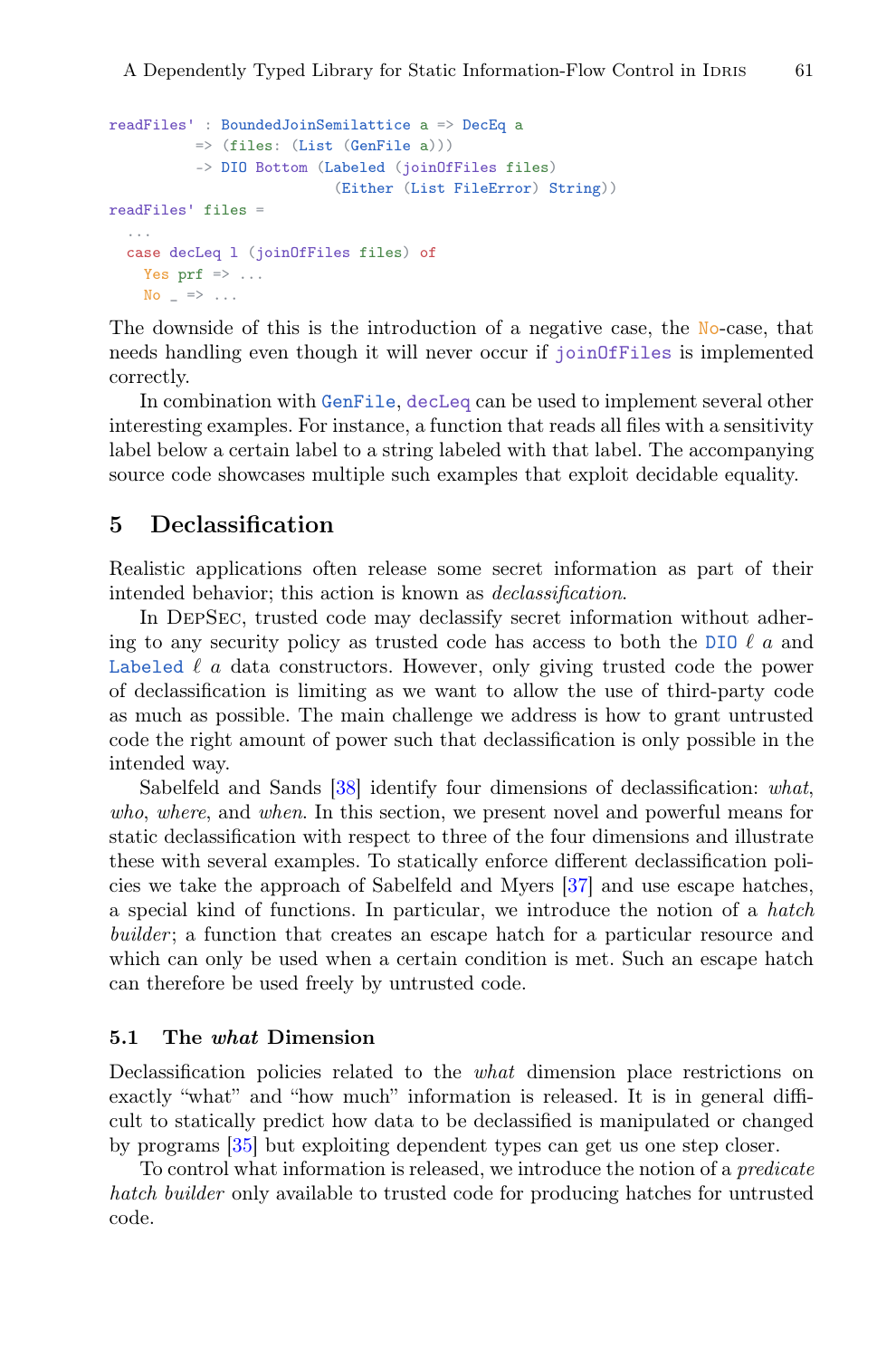```
readFiles' : BoundedJoinSemilattice a => DecEq a
          => (files: (List (GenFile a)))
           -> DIO Bottom (Labeled (joinOfFiles files)
                            (Either (List FileError) String))
readFiles' files =
  ...
  case decLeq l (joinOfFiles files) of
    Yes prf \Rightarrow \dotsNo = \Rightarrow ...
```
The downside of this is the introduction of a negative case, the No-case, that needs handling even though it will never occur if joinOfFiles is implemented correctly.

In combination with GenFile, decLeq can be used to implement several other interesting examples. For instance, a function that reads all files with a sensitivity label below a certain label to a string labeled with that label. The accompanying source code showcases multiple such examples that exploit decidable equality.

### <span id="page-10-0"></span>5 Declassification

Realistic applications often release some secret information as part of their intended behavior; this action is known as *declassification*.

In DepSec, trusted code may declassify secret information without adhering to any security policy as trusted code has access to both the DIO  $\ell$  a and Labeled  $\ell$  a data constructors. However, only giving trusted code the power of declassification is limiting as we want to allow the use of third-party code as much as possible. The main challenge we address is how to grant untrusted code the right amount of power such that declassification is only possible in the intended way.

Sabelfeld and Sands [\[38\]](#page-22-9) identify four dimensions of declassification: *what*, *who*, *where*, and *when*. In this section, we present novel and powerful means for static declassification with respect to three of the four dimensions and illustrate these with several examples. To statically enforce different declassification policies we take the approach of Sabelfeld and Myers [\[37](#page-22-10)] and use escape hatches, a special kind of functions. In particular, we introduce the notion of a *hatch builder*; a function that creates an escape hatch for a particular resource and which can only be used when a certain condition is met. Such an escape hatch can therefore be used freely by untrusted code.

#### 5.1 The *what* Dimension

Declassification policies related to the *what* dimension place restrictions on exactly "what" and "how much" information is released. It is in general difficult to statically predict how data to be declassified is manipulated or changed by programs [\[35\]](#page-22-4) but exploiting dependent types can get us one step closer.

To control what information is released, we introduce the notion of a *predicate hatch builder* only available to trusted code for producing hatches for untrusted code.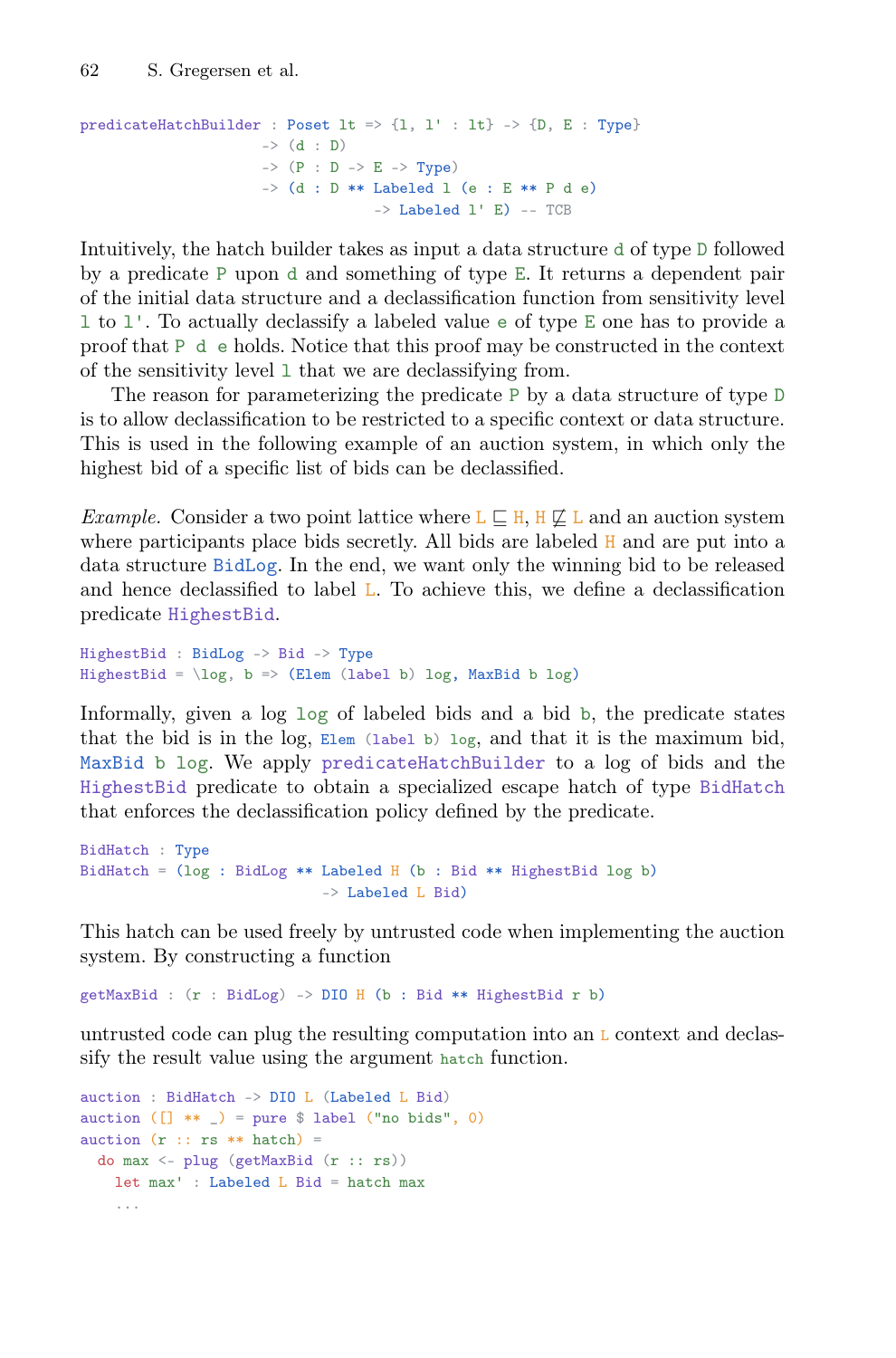```
predicateHatchBuilder : Poset 1t => {1, 1' : 1t} -> {D, E : Type}
                            \rightarrow (d : D)
                            \rightarrow (P : D \rightarrow E \rightarrow Type)
                             \rightarrow (d : D ** Labeled 1 (e : E ** P d e)
                                               \rightarrow Labeled 1' E) \rightarrow TCB
```
Intuitively, the hatch builder takes as input a data structure d of type D followed by a predicate P upon d and something of type E. It returns a dependent pair of the initial data structure and a declassification function from sensitivity level l to l'. To actually declassify a labeled value e of type E one has to provide a proof that  $P \text{d}$  e holds. Notice that this proof may be constructed in the context of the sensitivity level l that we are declassifying from.

The reason for parameterizing the predicate P by a data structure of type D is to allow declassification to be restricted to a specific context or data structure. This is used in the following example of an auction system, in which only the highest bid of a specific list of bids can be declassified.

*Example.* Consider a two point lattice where  $L \subseteq H$ ,  $H \not\subseteq L$  and an auction system where participants place bids secretly. All bids are labeled H and are put into a data structure BidLog. In the end, we want only the winning bid to be released and hence declassified to label L. To achieve this, we define a declassification predicate HighestBid.

HighestBid : BidLog -> Bid -> Type HighestBid =  $\log$ , b => (Elem (label b) log, MaxBid b log)

Informally, given a log log of labeled bids and a bid b, the predicate states that the bid is in the log, Elem (label b) log, and that it is the maximum bid, MaxBid b log. We apply predicateHatchBuilder to a log of bids and the HighestBid predicate to obtain a specialized escape hatch of type BidHatch that enforces the declassification policy defined by the predicate.

```
BidHatch : Type
BidHatch = (log : BidLog ** Labeled H (b : Bid ** HighestBid log b)
                            -> Labeled L Bid)
```
This hatch can be used freely by untrusted code when implementing the auction system. By constructing a function

getMaxBid : (r : BidLog) -> DIO H (b : Bid \*\* HighestBid r b)

untrusted code can plug the resulting computation into an L context and declassify the result value using the argument hatch function.

```
auction : BidHatch -> DIO L (Labeled L Bid)
auction ([ ** ] = pure $ label ("no bids", 0)
auction (r :: rs ** hatch) =do max <- plug (getMaxBid (r :: rs))
   let max' : Labeled L Bid = hatch max
    ...
```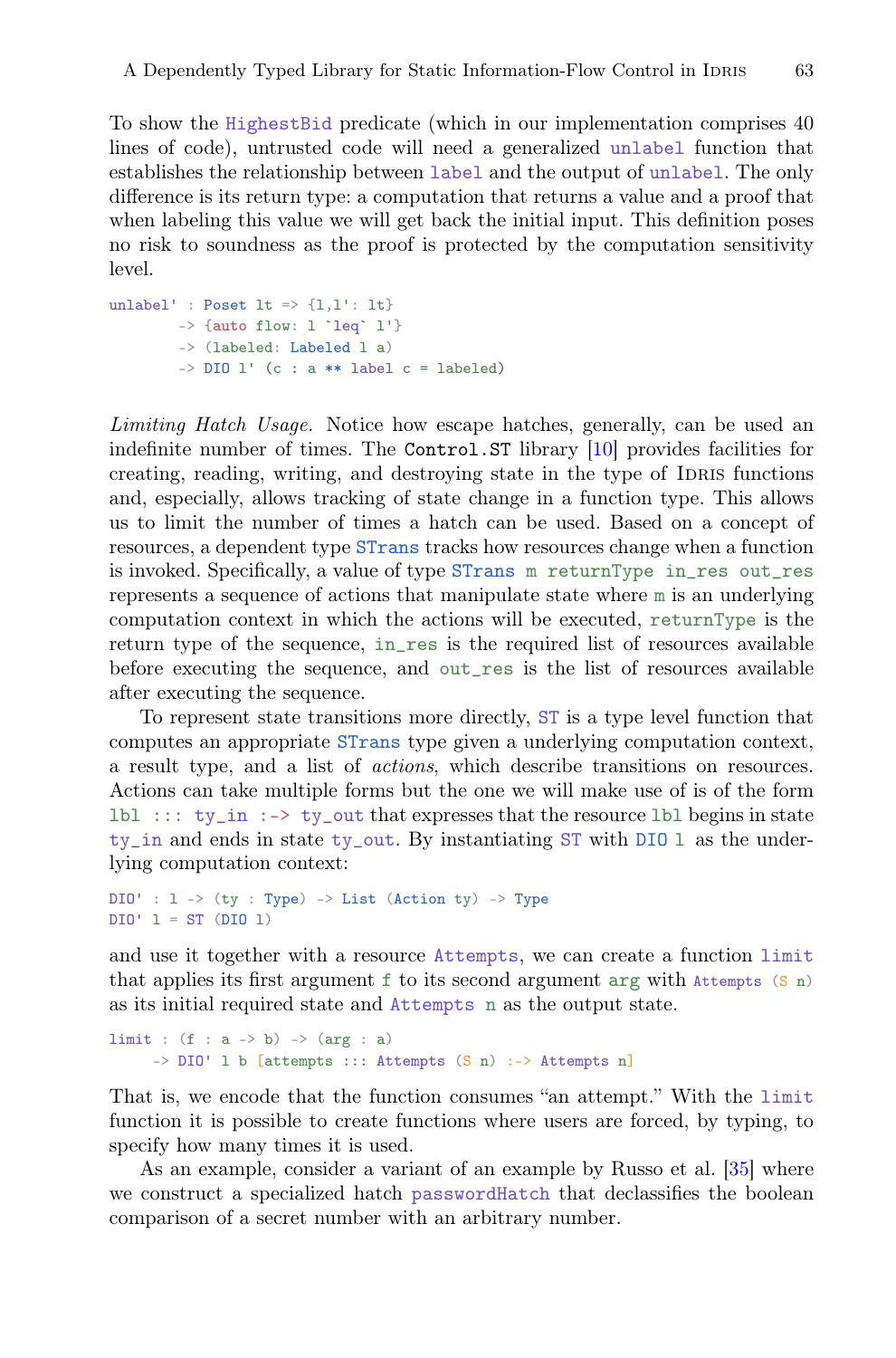To show the HighestBid predicate (which in our implementation comprises 40 lines of code), untrusted code will need a generalized unlabel function that establishes the relationship between label and the output of unlabel. The only difference is its return type: a computation that returns a value and a proof that when labeling this value we will get back the initial input. This definition poses no risk to soundness as the proof is protected by the computation sensitivity level.

```
unlabel' : Poset lt \Rightarrow \{1,1':1t\}\rightarrow {auto flow: l `leq` l'}
         -> (labeled: Labeled l a)
         \rightarrow DIO 1' (c : a ** label c = labeled)
```
*Limiting Hatch Usage.* Notice how escape hatches, generally, can be used an indefinite number of times. The Control.ST library [\[10\]](#page-20-7) provides facilities for creating, reading, writing, and destroying state in the type of IDRIS functions and, especially, allows tracking of state change in a function type. This allows us to limit the number of times a hatch can be used. Based on a concept of resources, a dependent type STrans tracks how resources change when a function is invoked. Specifically, a value of type STrans m returnType in\_res out\_res represents a sequence of actions that manipulate state where m is an underlying computation context in which the actions will be executed, returnType is the return type of the sequence, in\_res is the required list of resources available before executing the sequence, and out\_res is the list of resources available after executing the sequence.

To represent state transitions more directly, ST is a type level function that computes an appropriate STrans type given a underlying computation context, a result type, and a list of *actions*, which describe transitions on resources. Actions can take multiple forms but the one we will make use of is of the form lbl ::: ty\_in :-> ty\_out that expresses that the resource lbl begins in state ty\_in and ends in state ty\_out. By instantiating ST with DIO l as the underlying computation context:

```
DIO' : 1 \rightarrow (ty : Type) \rightarrow List (Action ty) \rightarrow TypeDIO' l = ST (DIO l)
```
and use it together with a resource Attempts, we can create a function limit that applies its first argument f to its second argument arg with Attempts (S n) as its initial required state and Attempts n as the output state.

```
limit : (f : a \rightarrow b) \rightarrow (arg : a)-> DIO' 1 b [attempts ::: Attempts (S n) :-> Attempts n]
```
That is, we encode that the function consumes "an attempt." With the limit function it is possible to create functions where users are forced, by typing, to specify how many times it is used.

As an example, consider a variant of an example by Russo et al. [\[35\]](#page-22-4) where we construct a specialized hatch passwordHatch that declassifies the boolean comparison of a secret number with an arbitrary number.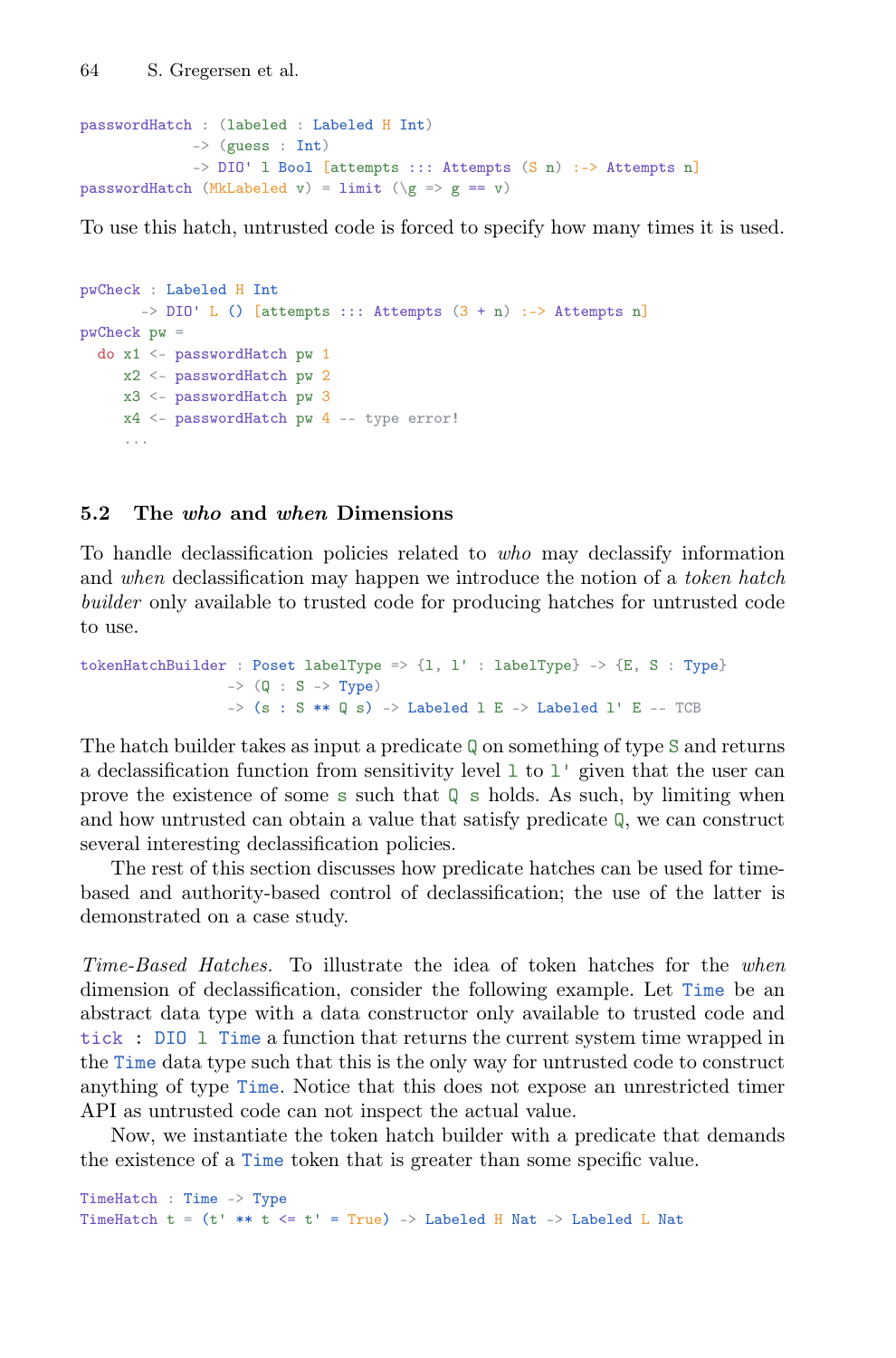64 S. Gregersen et al.

```
passwordHatch : (labeled : Labeled H Int)
              \rightarrow (guess : Int)
              -> DIO' 1 Bool [attempts ::: Attempts (S n) :-> Attempts n]
passwordHatch (MkLabeled v) = limit (\gtrsim => g == v)
```
To use this hatch, untrusted code is forced to specify how many times it is used.

```
pwCheck : Labeled H Int
       \rightarrow DIO' L () [attempts ::: Attempts (3 + n) :-> Attempts n]
pwCheck pw =
  do x1 <- passwordHatch pw 1
    x2 <- passwordHatch pw 2
     x3 <- passwordHatch pw 3
     x4 <- passwordHatch pw 4 -- type error!
     ...
```
#### 5.2 The *who* and *when* Dimensions

To handle declassification policies related to *who* may declassify information and *when* declassification may happen we introduce the notion of a *token hatch builder* only available to trusted code for producing hatches for untrusted code to use.

```
tokenHatchBuilder : Poset labelType => {1, 1' : labelType} -> {E, S : Type}
                      \Rightarrow (Q : S \Rightarrow Type)
                      \Rightarrow (s : S ** Q s) \Rightarrow Labeled 1 E \Rightarrow Labeled 1' E \text{-} TCB
```
The hatch builder takes as input a predicate Q on something of type S and returns a declassification function from sensitivity level  $1$  to  $1'$  given that the user can prove the existence of some  $s$  such that  $Q$  s holds. As such, by limiting when and how untrusted can obtain a value that satisfy predicate Q, we can construct several interesting declassification policies.

The rest of this section discusses how predicate hatches can be used for timebased and authority-based control of declassification; the use of the latter is demonstrated on a case study.

*Time-Based Hatches.* To illustrate the idea of token hatches for the *when* dimension of declassification, consider the following example. Let Time be an abstract data type with a data constructor only available to trusted code and tick : DIO l Time a function that returns the current system time wrapped in the Time data type such that this is the only way for untrusted code to construct anything of type Time. Notice that this does not expose an unrestricted timer API as untrusted code can not inspect the actual value.

Now, we instantiate the token hatch builder with a predicate that demands the existence of a Time token that is greater than some specific value.

TimeHatch : Time -> Type TimeHatch  $t = (t' ** t \le t' = True) \rightarrow$  Labeled H Nat -> Labeled L Nat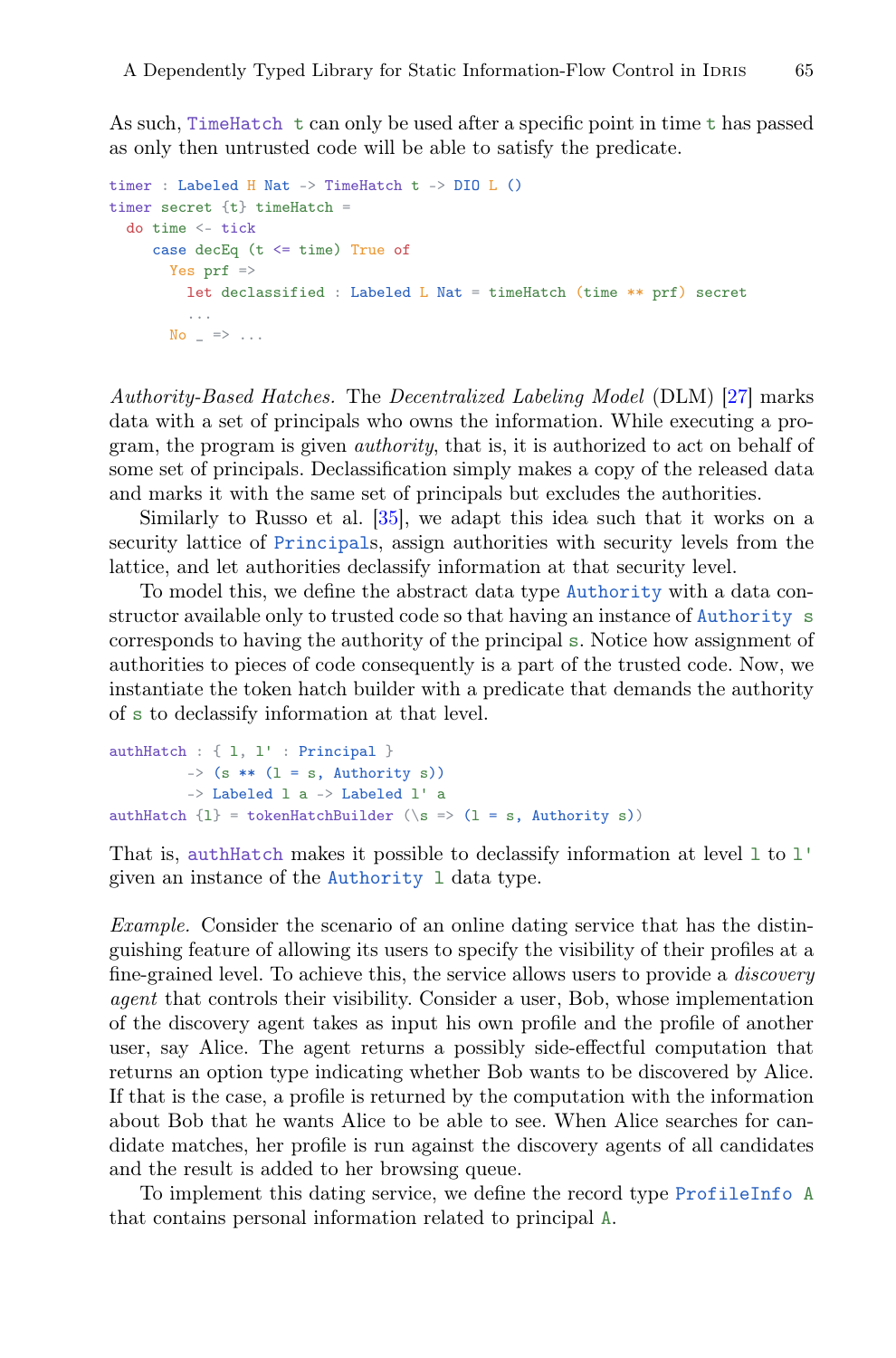As such, TimeHatch t can only be used after a specific point in time t has passed as only then untrusted code will be able to satisfy the predicate.

```
timer : Labeled H Nat -> TimeHatch t -> DIO L ()
timer secret {t} timeHatch =
  do time <- tick
     case decEq (t \leq t \text{ time}) True of
       Yes prf =>
         let declassified : Labeled L Nat = timeHatch (time ** prf) secret
          ...
       No \Box \Rightarrow \Box...
```
*Authority-Based Hatches.* The *Decentralized Labeling Model* (DLM) [\[27\]](#page-21-7) marks data with a set of principals who owns the information. While executing a program, the program is given *authority*, that is, it is authorized to act on behalf of some set of principals. Declassification simply makes a copy of the released data and marks it with the same set of principals but excludes the authorities.

Similarly to Russo et al. [\[35\]](#page-22-4), we adapt this idea such that it works on a security lattice of Principals, assign authorities with security levels from the lattice, and let authorities declassify information at that security level.

To model this, we define the abstract data type Authority with a data constructor available only to trusted code so that having an instance of Authority s corresponds to having the authority of the principal s. Notice how assignment of authorities to pieces of code consequently is a part of the trusted code. Now, we instantiate the token hatch builder with a predicate that demands the authority of s to declassify information at that level.

```
authHatch : { l, l' : Principal }
         \Rightarrow (s ** (l = s, Authority s))
         -> Labeled l a -> Labeled l' a
authHatch \{1\} = tokenHatchBuilder (\s => (1 = s, Authority s))
```
That is, authHatch makes it possible to declassify information at level l to l' given an instance of the Authority l data type.

*Example.* Consider the scenario of an online dating service that has the distinguishing feature of allowing its users to specify the visibility of their profiles at a fine-grained level. To achieve this, the service allows users to provide a *discovery agent* that controls their visibility. Consider a user, Bob, whose implementation of the discovery agent takes as input his own profile and the profile of another user, say Alice. The agent returns a possibly side-effectful computation that returns an option type indicating whether Bob wants to be discovered by Alice. If that is the case, a profile is returned by the computation with the information about Bob that he wants Alice to be able to see. When Alice searches for candidate matches, her profile is run against the discovery agents of all candidates and the result is added to her browsing queue.

To implement this dating service, we define the record type ProfileInfo A that contains personal information related to principal A.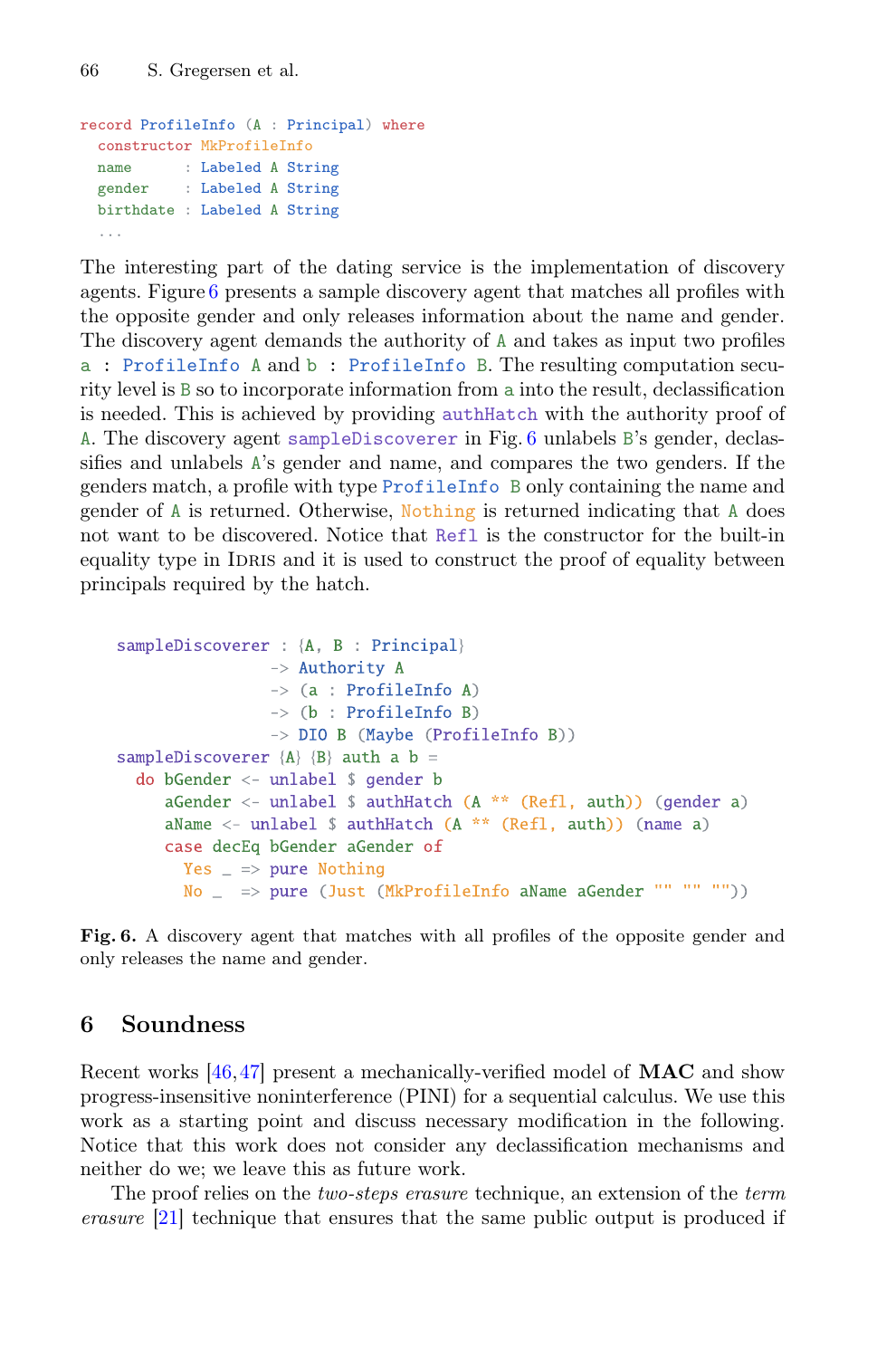```
record ProfileInfo (A : Principal) where
 constructor MkProfileInfo
 name : Labeled A String
 gender : Labeled A String
 birthdate : Labeled A String
  ...
```
The interesting part of the dating service is the implementation of discovery agents. Figure  $6$  presents a sample discovery agent that matches all profiles with the opposite gender and only releases information about the name and gender. The discovery agent demands the authority of A and takes as input two profiles a : ProfileInfo A and b : ProfileInfo B. The resulting computation security level is B so to incorporate information from a into the result, declassification is needed. This is achieved by providing authHatch with the authority proof of A. The discovery agent sampleDiscoverer in Fig. [6](#page-15-1) unlabels B's gender, declassifies and unlabels A's gender and name, and compares the two genders. If the genders match, a profile with type ProfileInfo B only containing the name and gender of A is returned. Otherwise, Nothing is returned indicating that A does not want to be discovered. Notice that Refl is the constructor for the built-in equality type in IDRIS and it is used to construct the proof of equality between principals required by the hatch.

```
sampleDiscoverer : {A, B : Principal}
                -> Authority A
                 \rightarrow (a : ProfileInfo A)
                 -> (b : ProfileInfo B)
                 -> DIO B (Maybe (ProfileInfo B))
sampleDiscoverer {A} {B} auth a b =
  do bGender <- unlabel $ gender b
     aGender <- unlabel $ authHatch (A * * (Refl,auth)) (gender a)
     aName \le- unlabel $ authHatch (A ** (Refl, auth)) (name a)
     case decEq bGender aGender of
       Yes = \Rightarrow pure Nothing
       No _ => pure (Just (MkProfileInfo aName aGender "" "" ""))
```
<span id="page-15-1"></span>Fig. 6. A discovery agent that matches with all profiles of the opposite gender and only releases the name and gender.

### <span id="page-15-0"></span>6 Soundness

Recent works [\[46,](#page-23-2)[47\]](#page-23-1) present a mechanically-verified model of MAC and show progress-insensitive noninterference (PINI) for a sequential calculus. We use this work as a starting point and discuss necessary modification in the following. Notice that this work does not consider any declassification mechanisms and neither do we; we leave this as future work.

The proof relies on the *two-steps erasure* technique, an extension of the *term erasure* [\[21\]](#page-21-8) technique that ensures that the same public output is produced if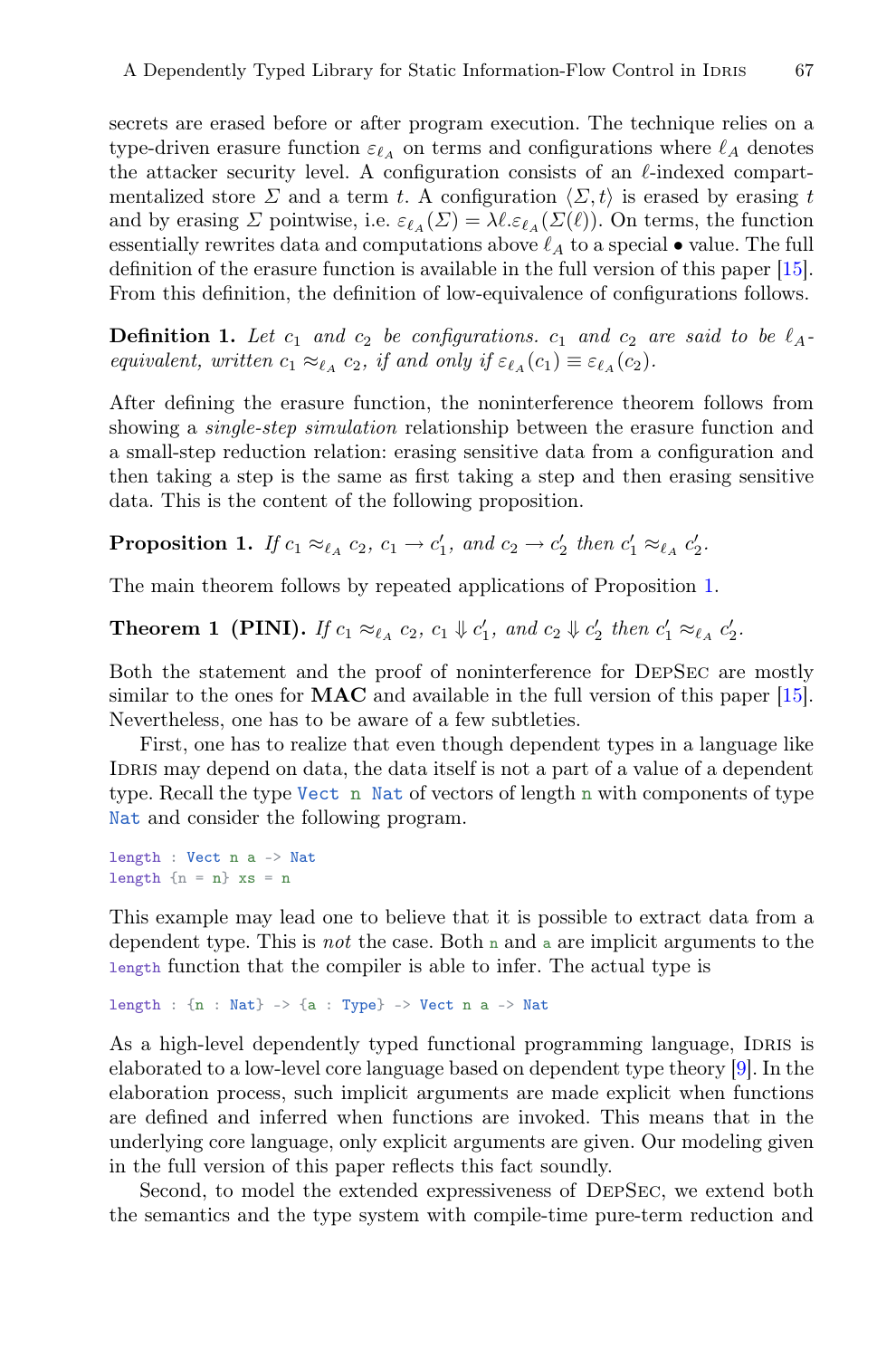secrets are erased before or after program execution. The technique relies on a type-driven erasure function  $\varepsilon_{\ell_A}$  on terms and configurations where  $\ell_A$  denotes the attacker security level. A configuration consists of an  $\ell$ -indexed compartmentalized store  $\Sigma$  and a term t. A configuration  $\langle \Sigma, t \rangle$  is erased by erasing t and by erasing  $\Sigma$  pointwise, i.e.  $\varepsilon_{\ell_A}(\Sigma) = \lambda \ell \cdot \varepsilon_{\ell_A}(\Sigma(\ell))$ . On terms, the function essentially rewrites data and computations above  $\ell_A$  to a special • value. The full definition of the erasure function is available in the full version of this paper [\[15\]](#page-21-9). From this definition, the definition of low-equivalence of configurations follows.

**Definition 1.** Let  $c_1$  and  $c_2$  be configurations.  $c_1$  and  $c_2$  are said to be  $\ell_A$ *equivalent, written*  $c_1 \approx_{\ell_A} c_2$ *, if and only if*  $\varepsilon_{\ell_A}(c_1) \equiv \varepsilon_{\ell_A}(c_2)$ *.* 

After defining the erasure function, the noninterference theorem follows from showing a *single-step simulation* relationship between the erasure function and a small-step reduction relation: erasing sensitive data from a configuration and then taking a step is the same as first taking a step and then erasing sensitive data. This is the content of the following proposition.

<span id="page-16-0"></span>**Proposition 1.** *If*  $c_1 \approx_{\ell_A} c_2$ ,  $c_1 \rightarrow c'_1$ , and  $c_2 \rightarrow c'_2$  then  $c'_1 \approx_{\ell_A} c'_2$ .

The main theorem follows by repeated applications of Proposition [1.](#page-16-0)

**Theorem 1 (PINI).** *If*  $c_1 \approx_{\ell_A} c_2$ ,  $c_1 \Downarrow c'_1$ , and  $c_2 \Downarrow c'_2$  then  $c'_1 \approx_{\ell_A} c'_2$ .

Both the statement and the proof of noninterference for DepSec are mostly similar to the ones for MAC and available in the full version of this paper [\[15\]](#page-21-9). Nevertheless, one has to be aware of a few subtleties.

First, one has to realize that even though dependent types in a language like IDRIS may depend on data, the data itself is not a part of a value of a dependent type. Recall the type Vect n Nat of vectors of length n with components of type Nat and consider the following program.

length : Vect n a -> Nat length  ${n = n}$  xs = n

This example may lead one to believe that it is possible to extract data from a dependent type. This is *not* the case. Both n and a are implicit arguments to the length function that the compiler is able to infer. The actual type is

length :  $\{n : Nat\} \rightarrow \{a : Type\} \rightarrow Vect n a \rightarrow Nat$ 

As a high-level dependently typed functional programming language, IDRIS is elaborated to a low-level core language based on dependent type theory [\[9](#page-20-5)]. In the elaboration process, such implicit arguments are made explicit when functions are defined and inferred when functions are invoked. This means that in the underlying core language, only explicit arguments are given. Our modeling given in the full version of this paper reflects this fact soundly.

Second, to model the extended expressiveness of DepSec, we extend both the semantics and the type system with compile-time pure-term reduction and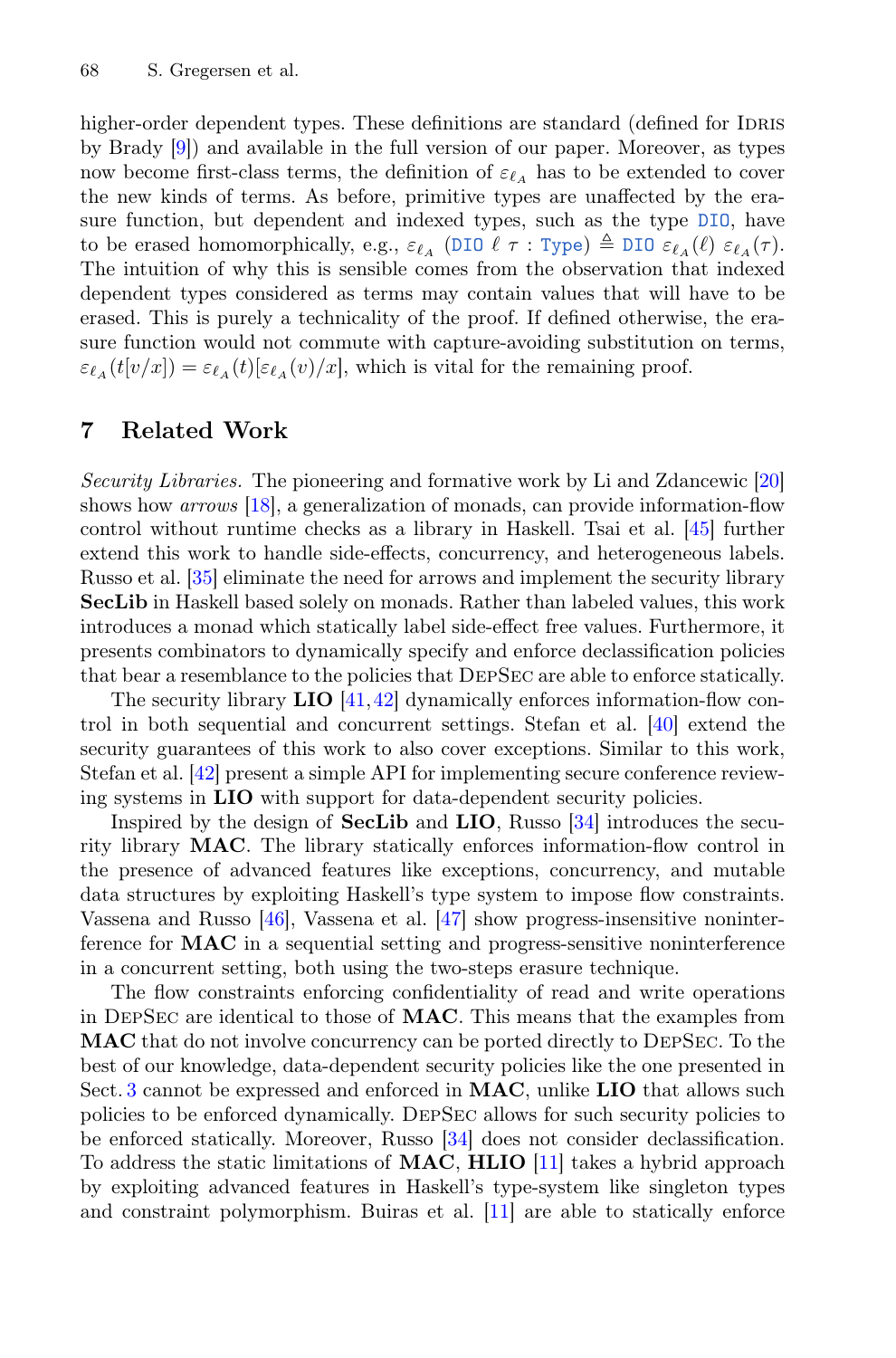higher-order dependent types. These definitions are standard (defined for IDRIS by Brady [\[9](#page-20-5)]) and available in the full version of our paper. Moreover, as types now become first-class terms, the definition of  $\varepsilon_{\ell_A}$  has to be extended to cover the new kinds of terms. As before, primitive types are unaffected by the erasure function, but dependent and indexed types, such as the type  $DIO$ , have to be erased homomorphically, e.g.,  $\varepsilon_{\ell_A}$  (DIO  $\ell \tau$ : Type)  $\triangleq$  DIO  $\varepsilon_{\ell_A}(\ell)$   $\varepsilon_{\ell_A}(\tau)$ . The intuition of why this is sensible comes from the observation that indexed dependent types considered as terms may contain values that will have to be erased. This is purely a technicality of the proof. If defined otherwise, the erasure function would not commute with capture-avoiding substitution on terms,  $\varepsilon_{\ell_A}(t[v/x]) = \varepsilon_{\ell_A}(t)[\varepsilon_{\ell_A}(v)/x]$ , which is vital for the remaining proof.

#### <span id="page-17-0"></span>7 Related Work

*Security Libraries.* The pioneering and formative work by Li and Zdancewic [\[20](#page-21-4)] shows how *arrows* [\[18\]](#page-21-10), a generalization of monads, can provide information-flow control without runtime checks as a library in Haskell. Tsai et al. [\[45](#page-23-3)] further extend this work to handle side-effects, concurrency, and heterogeneous labels. Russo et al. [\[35](#page-22-4)] eliminate the need for arrows and implement the security library SecLib in Haskell based solely on monads. Rather than labeled values, this work introduces a monad which statically label side-effect free values. Furthermore, it presents combinators to dynamically specify and enforce declassification policies that bear a resemblance to the policies that DepSec are able to enforce statically.

The security library LIO [\[41](#page-22-11)[,42](#page-22-5)] dynamically enforces information-flow control in both sequential and concurrent settings. Stefan et al. [\[40](#page-22-12)] extend the security guarantees of this work to also cover exceptions. Similar to this work, Stefan et al. [\[42](#page-22-5)] present a simple API for implementing secure conference reviewing systems in LIO with support for data-dependent security policies.

Inspired by the design of SecLib and LIO, Russo [\[34\]](#page-22-3) introduces the security library MAC. The library statically enforces information-flow control in the presence of advanced features like exceptions, concurrency, and mutable data structures by exploiting Haskell's type system to impose flow constraints. Vassena and Russo [\[46\]](#page-23-2), Vassena et al. [\[47](#page-23-1)] show progress-insensitive noninterference for MAC in a sequential setting and progress-sensitive noninterference in a concurrent setting, both using the two-steps erasure technique.

The flow constraints enforcing confidentiality of read and write operations in DepSec are identical to those of MAC. This means that the examples from MAC that do not involve concurrency can be ported directly to DepSec. To the best of our knowledge, data-dependent security policies like the one presented in Sect. [3](#page-6-0) cannot be expressed and enforced in **MAC**, unlike **LIO** that allows such policies to be enforced dynamically. DepSec allows for such security policies to be enforced statically. Moreover, Russo [\[34](#page-22-3)] does not consider declassification. To address the static limitations of **MAC**, **HLIO** [\[11](#page-20-2)] takes a hybrid approach by exploiting advanced features in Haskell's type-system like singleton types and constraint polymorphism. Buiras et al. [\[11](#page-20-2)] are able to statically enforce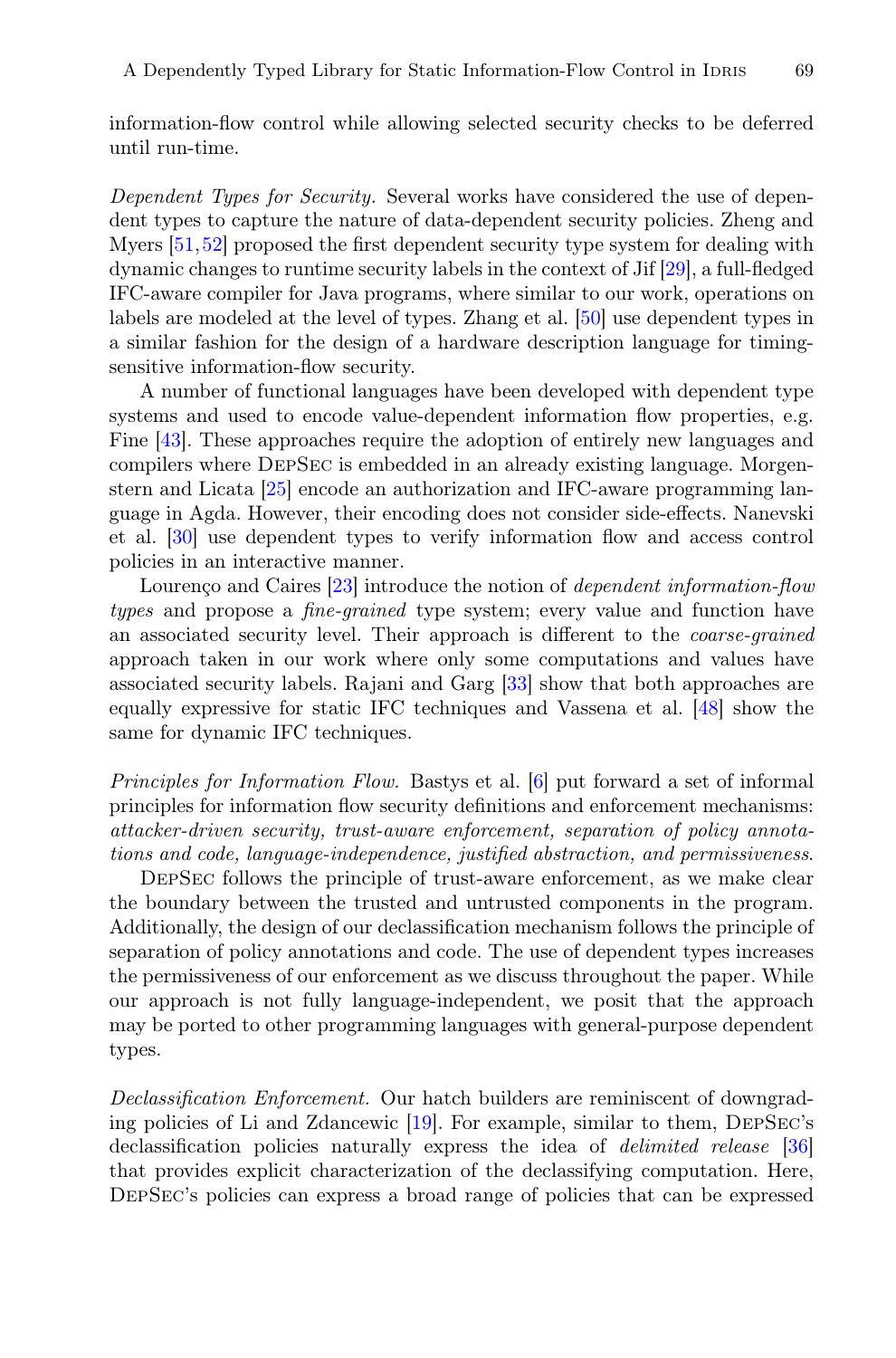information-flow control while allowing selected security checks to be deferred until run-time.

*Dependent Types for Security.* Several works have considered the use of dependent types to capture the nature of data-dependent security policies. Zheng and Myers [\[51](#page-23-4)[,52](#page-23-5)] proposed the first dependent security type system for dealing with dynamic changes to runtime security labels in the context of Jif [\[29](#page-22-1)], a full-fledged IFC-aware compiler for Java programs, where similar to our work, operations on labels are modeled at the level of types. Zhang et al. [\[50\]](#page-23-6) use dependent types in a similar fashion for the design of a hardware description language for timingsensitive information-flow security.

A number of functional languages have been developed with dependent type systems and used to encode value-dependent information flow properties, e.g. Fine [\[43\]](#page-23-7). These approaches require the adoption of entirely new languages and compilers where DepSec is embedded in an already existing language. Morgenstern and Licata [\[25\]](#page-21-11) encode an authorization and IFC-aware programming language in Agda. However, their encoding does not consider side-effects. Nanevski et al. [\[30](#page-22-13)] use dependent types to verify information flow and access control policies in an interactive manner.

Lourenço and Caires [\[23](#page-21-2)] introduce the notion of *dependent information-flow types* and propose a *fine-grained* type system; every value and function have an associated security level. Their approach is different to the *coarse-grained* approach taken in our work where only some computations and values have associated security labels. Rajani and Garg [\[33\]](#page-22-8) show that both approaches are equally expressive for static IFC techniques and Vassena et al. [\[48\]](#page-23-8) show the same for dynamic IFC techniques.

*Principles for Information Flow.* Bastys et al. [\[6\]](#page-20-8) put forward a set of informal principles for information flow security definitions and enforcement mechanisms: *attacker-driven security, trust-aware enforcement, separation of policy annotations and code, language-independence, justified abstraction, and permissiveness*.

DepSec follows the principle of trust-aware enforcement, as we make clear the boundary between the trusted and untrusted components in the program. Additionally, the design of our declassification mechanism follows the principle of separation of policy annotations and code. The use of dependent types increases the permissiveness of our enforcement as we discuss throughout the paper. While our approach is not fully language-independent, we posit that the approach may be ported to other programming languages with general-purpose dependent types.

*Declassification Enforcement.* Our hatch builders are reminiscent of downgrading policies of Li and Zdancewic [\[19\]](#page-21-12). For example, similar to them, DepSec's declassification policies naturally express the idea of *delimited release* [\[36\]](#page-22-0) that provides explicit characterization of the declassifying computation. Here, DepSec's policies can express a broad range of policies that can be expressed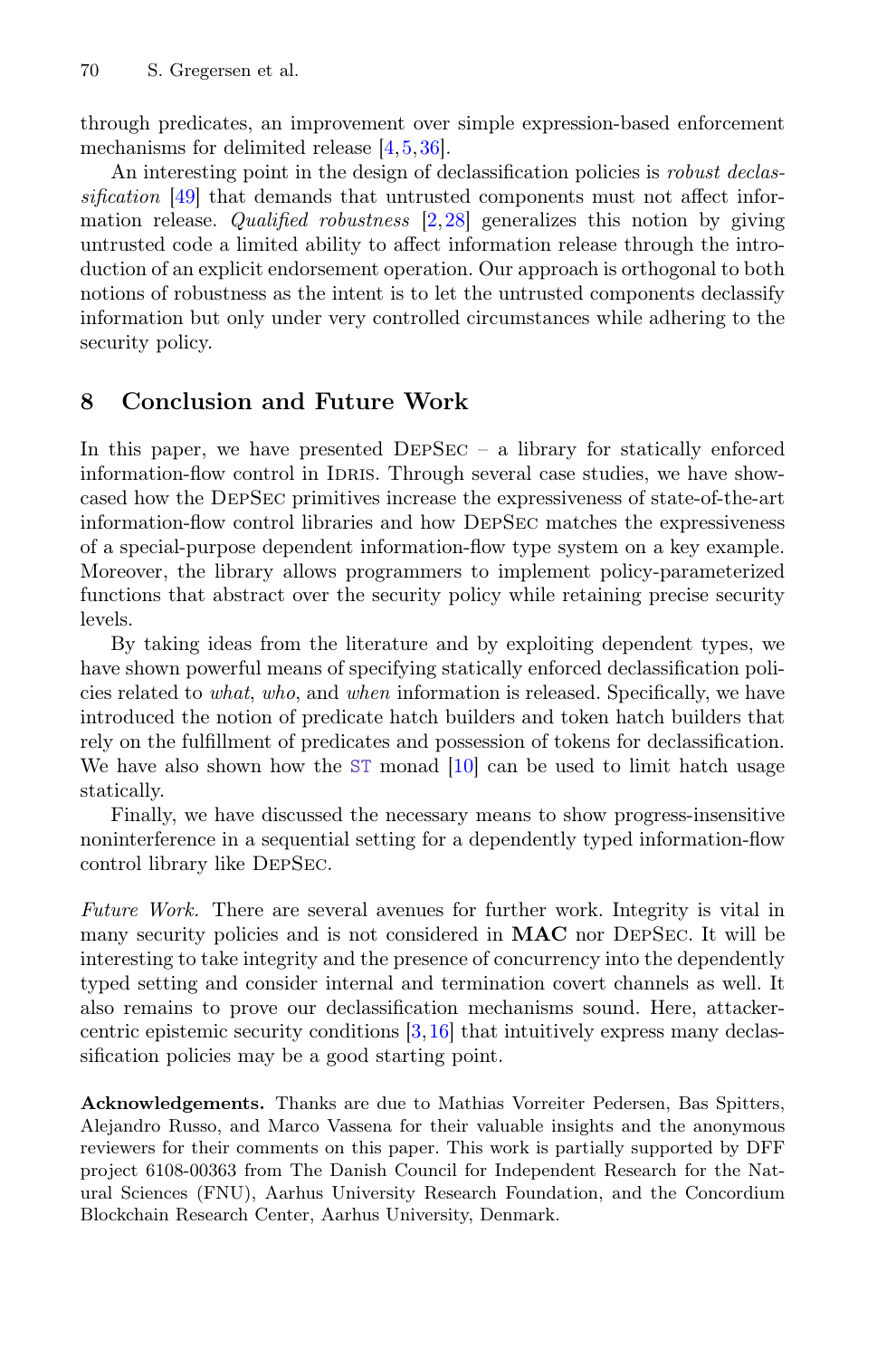through predicates, an improvement over simple expression-based enforcement mechanisms for delimited release [\[4](#page-20-9)[,5](#page-20-10),[36\]](#page-22-0).

An interesting point in the design of declassification policies is *robust declassification* [\[49\]](#page-23-9) that demands that untrusted components must not affect information release. *Qualified robustness* [\[2,](#page-20-11)[28](#page-22-14)] generalizes this notion by giving untrusted code a limited ability to affect information release through the introduction of an explicit endorsement operation. Our approach is orthogonal to both notions of robustness as the intent is to let the untrusted components declassify information but only under very controlled circumstances while adhering to the security policy.

## 8 Conclusion and Future Work

In this paper, we have presented  $DEFSEC - a library$  for statically enforced information-flow control in IDRIS. Through several case studies, we have showcased how the DepSec primitives increase the expressiveness of state-of-the-art information-flow control libraries and how DepSec matches the expressiveness of a special-purpose dependent information-flow type system on a key example. Moreover, the library allows programmers to implement policy-parameterized functions that abstract over the security policy while retaining precise security levels.

By taking ideas from the literature and by exploiting dependent types, we have shown powerful means of specifying statically enforced declassification policies related to *what*, *who*, and *when* information is released. Specifically, we have introduced the notion of predicate hatch builders and token hatch builders that rely on the fulfillment of predicates and possession of tokens for declassification. We have also shown how the ST monad [\[10](#page-20-7)] can be used to limit hatch usage statically.

Finally, we have discussed the necessary means to show progress-insensitive noninterference in a sequential setting for a dependently typed information-flow control library like DepSec.

*Future Work.* There are several avenues for further work. Integrity is vital in many security policies and is not considered in **MAC** nor DEPSEC. It will be interesting to take integrity and the presence of concurrency into the dependently typed setting and consider internal and termination covert channels as well. It also remains to prove our declassification mechanisms sound. Here, attackercentric epistemic security conditions [\[3,](#page-20-12)[16](#page-21-13)] that intuitively express many declassification policies may be a good starting point.

Acknowledgements. Thanks are due to Mathias Vorreiter Pedersen, Bas Spitters, Alejandro Russo, and Marco Vassena for their valuable insights and the anonymous reviewers for their comments on this paper. This work is partially supported by DFF project 6108-00363 from The Danish Council for Independent Research for the Natural Sciences (FNU), Aarhus University Research Foundation, and the Concordium Blockchain Research Center, Aarhus University, Denmark.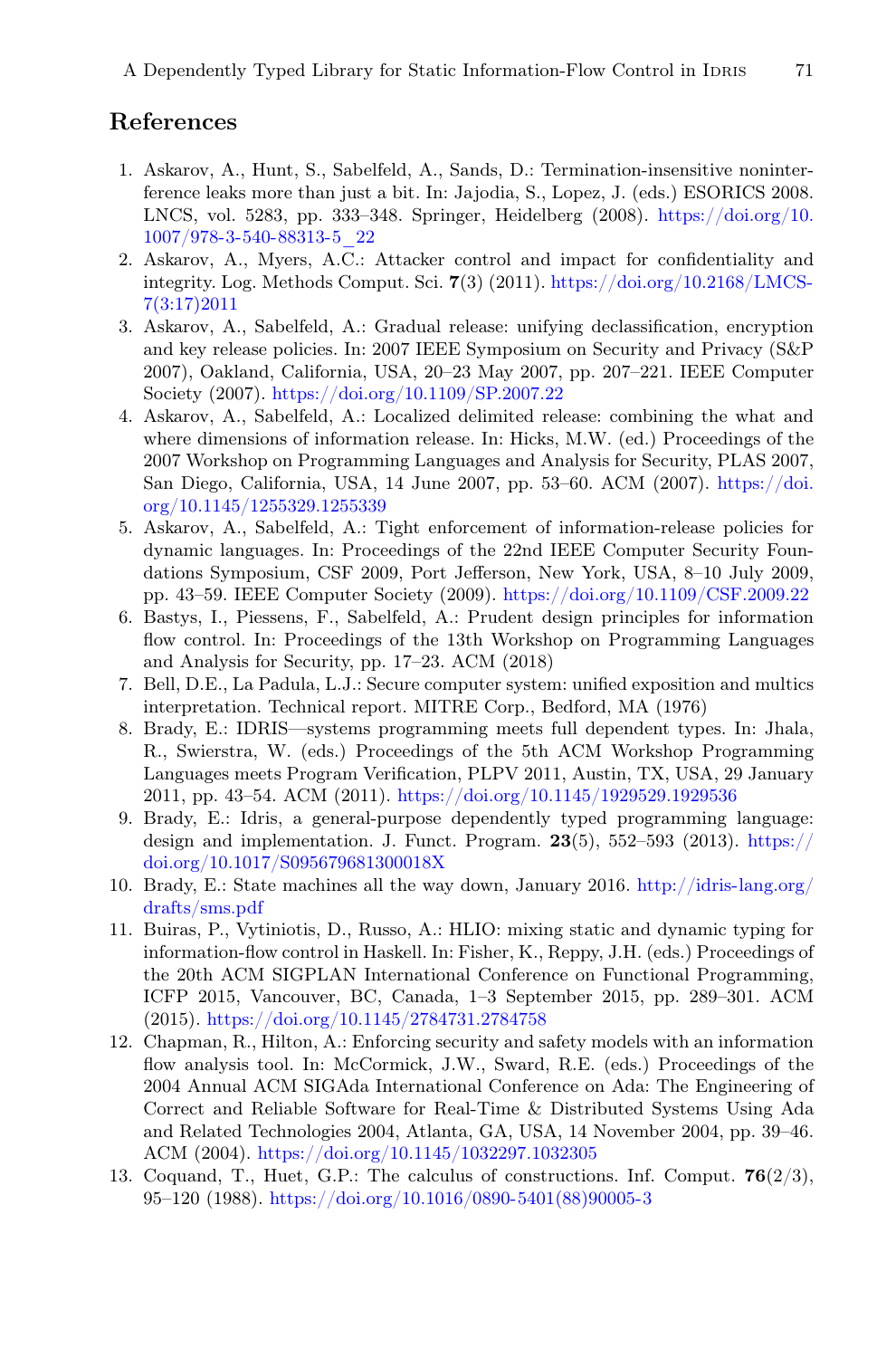### References

- <span id="page-20-6"></span>1. Askarov, A., Hunt, S., Sabelfeld, A., Sands, D.: Termination-insensitive noninterference leaks more than just a bit. In: Jajodia, S., Lopez, J. (eds.) ESORICS 2008. LNCS, vol. 5283, pp. 333–348. Springer, Heidelberg (2008). [https://doi.org/10.](https://doi.org/10.1007/978-3-540-88313-5_22) [1007/978-3-540-88313-5\\_22](https://doi.org/10.1007/978-3-540-88313-5_22)
- <span id="page-20-11"></span>2. Askarov, A., Myers, A.C.: Attacker control and impact for confidentiality and integrity. Log. Methods Comput. Sci. 7(3) (2011). [https://doi.org/10.2168/LMCS-](https://doi.org/10.2168/LMCS-7(3:17)2011)[7\(3:17\)2011](https://doi.org/10.2168/LMCS-7(3:17)2011)
- <span id="page-20-12"></span>3. Askarov, A., Sabelfeld, A.: Gradual release: unifying declassification, encryption and key release policies. In: 2007 IEEE Symposium on Security and Privacy (S&P 2007), Oakland, California, USA, 20–23 May 2007, pp. 207–221. IEEE Computer Society (2007). <https://doi.org/10.1109/SP.2007.22>
- <span id="page-20-9"></span>4. Askarov, A., Sabelfeld, A.: Localized delimited release: combining the what and where dimensions of information release. In: Hicks, M.W. (ed.) Proceedings of the 2007 Workshop on Programming Languages and Analysis for Security, PLAS 2007, San Diego, California, USA, 14 June 2007, pp. 53–60. ACM (2007). [https://doi.](https://doi.org/10.1145/1255329.1255339) [org/10.1145/1255329.1255339](https://doi.org/10.1145/1255329.1255339)
- <span id="page-20-10"></span>5. Askarov, A., Sabelfeld, A.: Tight enforcement of information-release policies for dynamic languages. In: Proceedings of the 22nd IEEE Computer Security Foundations Symposium, CSF 2009, Port Jefferson, New York, USA, 8–10 July 2009, pp. 43–59. IEEE Computer Society (2009). <https://doi.org/10.1109/CSF.2009.22>
- <span id="page-20-8"></span>6. Bastys, I., Piessens, F., Sabelfeld, A.: Prudent design principles for information flow control. In: Proceedings of the 13th Workshop on Programming Languages and Analysis for Security, pp. 17–23. ACM (2018)
- <span id="page-20-0"></span>7. Bell, D.E., La Padula, L.J.: Secure computer system: unified exposition and multics interpretation. Technical report. MITRE Corp., Bedford, MA (1976)
- <span id="page-20-4"></span>8. Brady, E.: IDRIS—systems programming meets full dependent types. In: Jhala, R., Swierstra, W. (eds.) Proceedings of the 5th ACM Workshop Programming Languages meets Program Verification, PLPV 2011, Austin, TX, USA, 29 January 2011, pp. 43–54. ACM (2011). <https://doi.org/10.1145/1929529.1929536>
- <span id="page-20-5"></span>9. Brady, E.: Idris, a general-purpose dependently typed programming language: design and implementation. J. Funct. Program.  $23(5)$ , 552–593 (2013). [https://](https://doi.org/10.1017/S095679681300018X) [doi.org/10.1017/S095679681300018X](https://doi.org/10.1017/S095679681300018X)
- <span id="page-20-7"></span>10. Brady, E.: State machines all the way down, January 2016. [http://idris-lang.org/](http://idris-lang.org/drafts/sms.pdf) [drafts/sms.pdf](http://idris-lang.org/drafts/sms.pdf)
- <span id="page-20-2"></span>11. Buiras, P., Vytiniotis, D., Russo, A.: HLIO: mixing static and dynamic typing for information-flow control in Haskell. In: Fisher, K., Reppy, J.H. (eds.) Proceedings of the 20th ACM SIGPLAN International Conference on Functional Programming, ICFP 2015, Vancouver, BC, Canada, 1–3 September 2015, pp. 289–301. ACM (2015). <https://doi.org/10.1145/2784731.2784758>
- <span id="page-20-1"></span>12. Chapman, R., Hilton, A.: Enforcing security and safety models with an information flow analysis tool. In: McCormick, J.W., Sward, R.E. (eds.) Proceedings of the 2004 Annual ACM SIGAda International Conference on Ada: The Engineering of Correct and Reliable Software for Real-Time & Distributed Systems Using Ada and Related Technologies 2004, Atlanta, GA, USA, 14 November 2004, pp. 39–46. ACM (2004). <https://doi.org/10.1145/1032297.1032305>
- <span id="page-20-3"></span>13. Coquand, T., Huet, G.P.: The calculus of constructions. Inf. Comput.  $76(2/3)$ , 95–120 (1988). [https://doi.org/10.1016/0890-5401\(88\)90005-3](https://doi.org/10.1016/0890-5401(88)90005-3)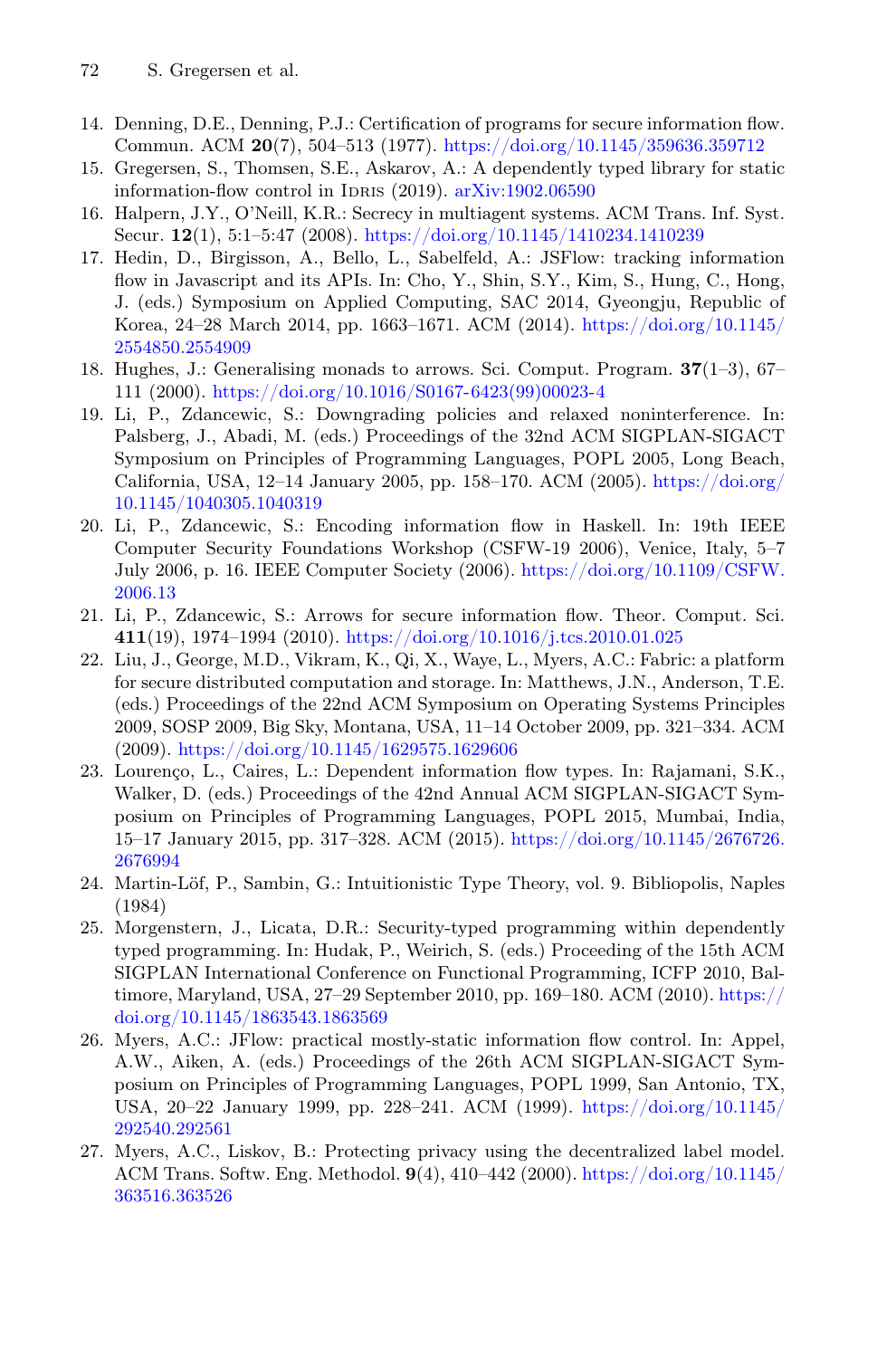- <span id="page-21-6"></span>14. Denning, D.E., Denning, P.J.: Certification of programs for secure information flow. Commun. ACM 20(7), 504–513 (1977). <https://doi.org/10.1145/359636.359712>
- <span id="page-21-9"></span>15. Gregersen, S., Thomsen, S.E., Askarov, A.: A dependently typed library for static information-flow control in IDRIS (2019).  $arXiv:1902.06590$
- <span id="page-21-13"></span>16. Halpern, J.Y., O'Neill, K.R.: Secrecy in multiagent systems. ACM Trans. Inf. Syst. Secur. 12(1), 5:1–5:47 (2008). <https://doi.org/10.1145/1410234.1410239>
- <span id="page-21-0"></span>17. Hedin, D., Birgisson, A., Bello, L., Sabelfeld, A.: JSFlow: tracking information flow in Javascript and its APIs. In: Cho, Y., Shin, S.Y., Kim, S., Hung, C., Hong, J. (eds.) Symposium on Applied Computing, SAC 2014, Gyeongju, Republic of Korea, 24–28 March 2014, pp. 1663–1671. ACM (2014). [https://doi.org/10.1145/](https://doi.org/10.1145/2554850.2554909) [2554850.2554909](https://doi.org/10.1145/2554850.2554909)
- <span id="page-21-10"></span>18. Hughes, J.: Generalising monads to arrows. Sci. Comput. Program. 37(1–3), 67– 111 (2000). [https://doi.org/10.1016/S0167-6423\(99\)00023-4](https://doi.org/10.1016/S0167-6423(99)00023-4)
- <span id="page-21-12"></span>19. Li, P., Zdancewic, S.: Downgrading policies and relaxed noninterference. In: Palsberg, J., Abadi, M. (eds.) Proceedings of the 32nd ACM SIGPLAN-SIGACT Symposium on Principles of Programming Languages, POPL 2005, Long Beach, California, USA, 12–14 January 2005, pp. 158–170. ACM (2005). [https://doi.org/](https://doi.org/10.1145/1040305.1040319) [10.1145/1040305.1040319](https://doi.org/10.1145/1040305.1040319)
- <span id="page-21-4"></span>20. Li, P., Zdancewic, S.: Encoding information flow in Haskell. In: 19th IEEE Computer Security Foundations Workshop (CSFW-19 2006), Venice, Italy, 5–7 July 2006, p. 16. IEEE Computer Society (2006). [https://doi.org/10.1109/CSFW.](https://doi.org/10.1109/CSFW.2006.13) [2006.13](https://doi.org/10.1109/CSFW.2006.13)
- <span id="page-21-8"></span>21. Li, P., Zdancewic, S.: Arrows for secure information flow. Theor. Comput. Sci. 411(19), 1974–1994 (2010). <https://doi.org/10.1016/j.tcs.2010.01.025>
- <span id="page-21-1"></span>22. Liu, J., George, M.D., Vikram, K., Qi, X., Waye, L., Myers, A.C.: Fabric: a platform for secure distributed computation and storage. In: Matthews, J.N., Anderson, T.E. (eds.) Proceedings of the 22nd ACM Symposium on Operating Systems Principles 2009, SOSP 2009, Big Sky, Montana, USA, 11–14 October 2009, pp. 321–334. ACM (2009). <https://doi.org/10.1145/1629575.1629606>
- <span id="page-21-2"></span>23. Lourenço, L., Caires, L.: Dependent information flow types. In: Rajamani, S.K., Walker, D. (eds.) Proceedings of the 42nd Annual ACM SIGPLAN-SIGACT Symposium on Principles of Programming Languages, POPL 2015, Mumbai, India, 15–17 January 2015, pp. 317–328. ACM (2015). [https://doi.org/10.1145/2676726.](https://doi.org/10.1145/2676726.2676994) [2676994](https://doi.org/10.1145/2676726.2676994)
- <span id="page-21-5"></span>24. Martin-Löf, P., Sambin, G.: Intuitionistic Type Theory, vol. 9. Bibliopolis, Naples (1984)
- <span id="page-21-11"></span>25. Morgenstern, J., Licata, D.R.: Security-typed programming within dependently typed programming. In: Hudak, P., Weirich, S. (eds.) Proceeding of the 15th ACM SIGPLAN International Conference on Functional Programming, ICFP 2010, Baltimore, Maryland, USA, 27–29 September 2010, pp. 169–180. ACM (2010). [https://](https://doi.org/10.1145/1863543.1863569) [doi.org/10.1145/1863543.1863569](https://doi.org/10.1145/1863543.1863569)
- <span id="page-21-3"></span>26. Myers, A.C.: JFlow: practical mostly-static information flow control. In: Appel, A.W., Aiken, A. (eds.) Proceedings of the 26th ACM SIGPLAN-SIGACT Symposium on Principles of Programming Languages, POPL 1999, San Antonio, TX, USA, 20–22 January 1999, pp. 228–241. ACM (1999). [https://doi.org/10.1145/](https://doi.org/10.1145/292540.292561) [292540.292561](https://doi.org/10.1145/292540.292561)
- <span id="page-21-7"></span>27. Myers, A.C., Liskov, B.: Protecting privacy using the decentralized label model. ACM Trans. Softw. Eng. Methodol. 9(4), 410–442 (2000). [https://doi.org/10.1145/](https://doi.org/10.1145/363516.363526) [363516.363526](https://doi.org/10.1145/363516.363526)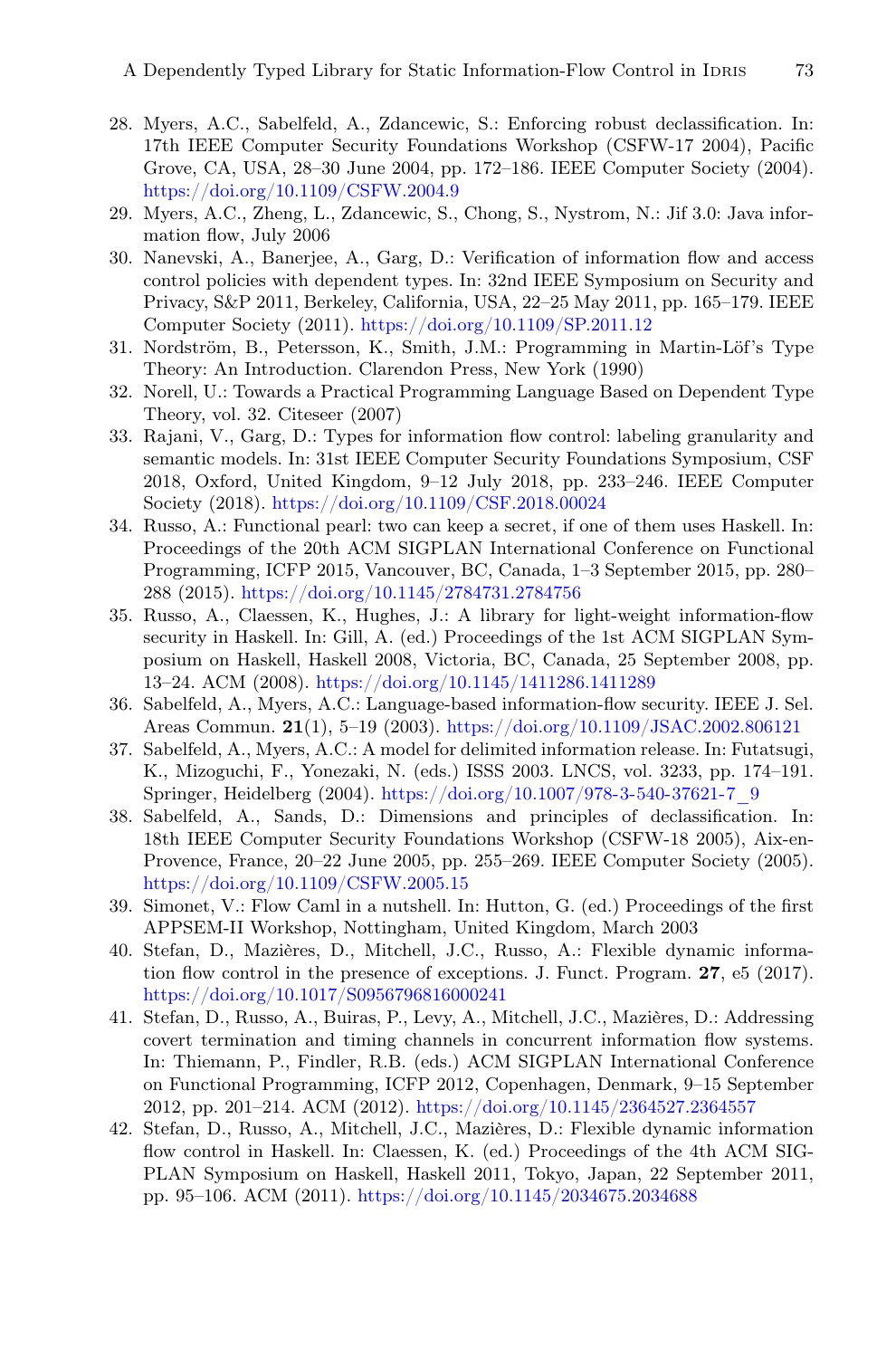- <span id="page-22-14"></span>28. Myers, A.C., Sabelfeld, A., Zdancewic, S.: Enforcing robust declassification. In: 17th IEEE Computer Security Foundations Workshop (CSFW-17 2004), Pacific Grove, CA, USA, 28–30 June 2004, pp. 172–186. IEEE Computer Society (2004). <https://doi.org/10.1109/CSFW.2004.9>
- <span id="page-22-1"></span>29. Myers, A.C., Zheng, L., Zdancewic, S., Chong, S., Nystrom, N.: Jif 3.0: Java information flow, July 2006
- <span id="page-22-13"></span>30. Nanevski, A., Banerjee, A., Garg, D.: Verification of information flow and access control policies with dependent types. In: 32nd IEEE Symposium on Security and Privacy, S&P 2011, Berkeley, California, USA, 22–25 May 2011, pp. 165–179. IEEE Computer Society (2011). <https://doi.org/10.1109/SP.2011.12>
- <span id="page-22-6"></span>31. Nordström, B., Petersson, K., Smith, J.M.: Programming in Martin-Löf's Type Theory: An Introduction. Clarendon Press, New York (1990)
- <span id="page-22-7"></span>32. Norell, U.: Towards a Practical Programming Language Based on Dependent Type Theory, vol. 32. Citeseer (2007)
- <span id="page-22-8"></span>33. Rajani, V., Garg, D.: Types for information flow control: labeling granularity and semantic models. In: 31st IEEE Computer Security Foundations Symposium, CSF 2018, Oxford, United Kingdom, 9–12 July 2018, pp. 233–246. IEEE Computer Society (2018). <https://doi.org/10.1109/CSF.2018.00024>
- <span id="page-22-3"></span>34. Russo, A.: Functional pearl: two can keep a secret, if one of them uses Haskell. In: Proceedings of the 20th ACM SIGPLAN International Conference on Functional Programming, ICFP 2015, Vancouver, BC, Canada, 1–3 September 2015, pp. 280– 288 (2015). <https://doi.org/10.1145/2784731.2784756>
- <span id="page-22-4"></span>35. Russo, A., Claessen, K., Hughes, J.: A library for light-weight information-flow security in Haskell. In: Gill, A. (ed.) Proceedings of the 1st ACM SIGPLAN Symposium on Haskell, Haskell 2008, Victoria, BC, Canada, 25 September 2008, pp. 13–24. ACM (2008). <https://doi.org/10.1145/1411286.1411289>
- <span id="page-22-0"></span>36. Sabelfeld, A., Myers, A.C.: Language-based information-flow security. IEEE J. Sel. Areas Commun. 21(1), 5–19 (2003). <https://doi.org/10.1109/JSAC.2002.806121>
- <span id="page-22-10"></span>37. Sabelfeld, A., Myers, A.C.: A model for delimited information release. In: Futatsugi, K., Mizoguchi, F., Yonezaki, N. (eds.) ISSS 2003. LNCS, vol. 3233, pp. 174–191. Springer, Heidelberg (2004). [https://doi.org/10.1007/978-3-540-37621-7\\_9](https://doi.org/10.1007/978-3-540-37621-7_9)
- <span id="page-22-9"></span>38. Sabelfeld, A., Sands, D.: Dimensions and principles of declassification. In: 18th IEEE Computer Security Foundations Workshop (CSFW-18 2005), Aix-en-Provence, France, 20–22 June 2005, pp. 255–269. IEEE Computer Society (2005). <https://doi.org/10.1109/CSFW.2005.15>
- <span id="page-22-2"></span>39. Simonet, V.: Flow Caml in a nutshell. In: Hutton, G. (ed.) Proceedings of the first APPSEM-II Workshop, Nottingham, United Kingdom, March 2003
- <span id="page-22-12"></span>40. Stefan, D., Mazières, D., Mitchell, J.C., Russo, A.: Flexible dynamic information flow control in the presence of exceptions. J. Funct. Program. 27, e5 (2017). <https://doi.org/10.1017/S0956796816000241>
- <span id="page-22-11"></span>41. Stefan, D., Russo, A., Buiras, P., Levy, A., Mitchell, J.C., Mazières, D.: Addressing covert termination and timing channels in concurrent information flow systems. In: Thiemann, P., Findler, R.B. (eds.) ACM SIGPLAN International Conference on Functional Programming, ICFP 2012, Copenhagen, Denmark, 9–15 September 2012, pp. 201–214. ACM (2012). <https://doi.org/10.1145/2364527.2364557>
- <span id="page-22-5"></span>42. Stefan, D., Russo, A., Mitchell, J.C., Mazières, D.: Flexible dynamic information flow control in Haskell. In: Claessen, K. (ed.) Proceedings of the 4th ACM SIG-PLAN Symposium on Haskell, Haskell 2011, Tokyo, Japan, 22 September 2011, pp. 95–106. ACM (2011). <https://doi.org/10.1145/2034675.2034688>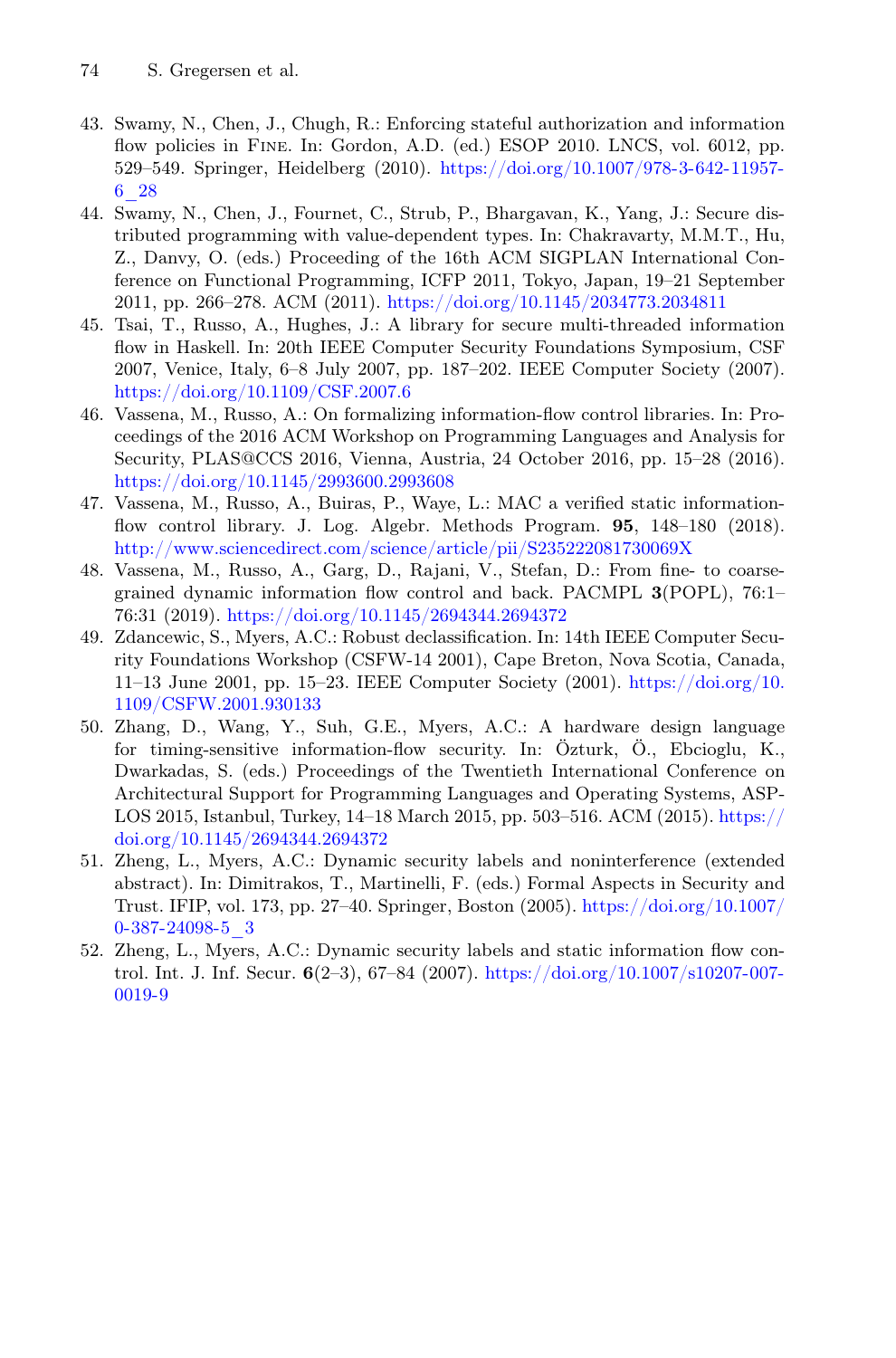- <span id="page-23-7"></span>43. Swamy, N., Chen, J., Chugh, R.: Enforcing stateful authorization and information flow policies in Fine. In: Gordon, A.D. (ed.) ESOP 2010. LNCS, vol. 6012, pp. 529–549. Springer, Heidelberg (2010). [https://doi.org/10.1007/978-3-642-11957-](https://doi.org/10.1007/978-3-642-11957-6_28) [6\\_28](https://doi.org/10.1007/978-3-642-11957-6_28)
- <span id="page-23-0"></span>44. Swamy, N., Chen, J., Fournet, C., Strub, P., Bhargavan, K., Yang, J.: Secure distributed programming with value-dependent types. In: Chakravarty, M.M.T., Hu, Z., Danvy, O. (eds.) Proceeding of the 16th ACM SIGPLAN International Conference on Functional Programming, ICFP 2011, Tokyo, Japan, 19–21 September 2011, pp. 266–278. ACM (2011). <https://doi.org/10.1145/2034773.2034811>
- <span id="page-23-3"></span>45. Tsai, T., Russo, A., Hughes, J.: A library for secure multi-threaded information flow in Haskell. In: 20th IEEE Computer Security Foundations Symposium, CSF 2007, Venice, Italy, 6–8 July 2007, pp. 187–202. IEEE Computer Society (2007). <https://doi.org/10.1109/CSF.2007.6>
- <span id="page-23-2"></span>46. Vassena, M., Russo, A.: On formalizing information-flow control libraries. In: Proceedings of the 2016 ACM Workshop on Programming Languages and Analysis for Security, PLAS@CCS 2016, Vienna, Austria, 24 October 2016, pp. 15–28 (2016). <https://doi.org/10.1145/2993600.2993608>
- <span id="page-23-1"></span>47. Vassena, M., Russo, A., Buiras, P., Waye, L.: MAC a verified static informationflow control library. J. Log. Algebr. Methods Program. 95, 148–180 (2018). <http://www.sciencedirect.com/science/article/pii/S235222081730069X>
- <span id="page-23-8"></span>48. Vassena, M., Russo, A., Garg, D., Rajani, V., Stefan, D.: From fine- to coarsegrained dynamic information flow control and back. PACMPL 3(POPL), 76:1– 76:31 (2019). <https://doi.org/10.1145/2694344.2694372>
- <span id="page-23-9"></span>49. Zdancewic, S., Myers, A.C.: Robust declassification. In: 14th IEEE Computer Security Foundations Workshop (CSFW-14 2001), Cape Breton, Nova Scotia, Canada, 11–13 June 2001, pp. 15–23. IEEE Computer Society (2001). [https://doi.org/10.](https://doi.org/10.1109/CSFW.2001.930133) [1109/CSFW.2001.930133](https://doi.org/10.1109/CSFW.2001.930133)
- <span id="page-23-6"></span>50. Zhang, D., Wang, Y., Suh, G.E., Myers, A.C.: A hardware design language for timing-sensitive information-flow security. In: Özturk, Ö., Ebcioglu, K., Dwarkadas, S. (eds.) Proceedings of the Twentieth International Conference on Architectural Support for Programming Languages and Operating Systems, ASP-LOS 2015, Istanbul, Turkey, 14–18 March 2015, pp. 503–516. ACM (2015). [https://](https://doi.org/10.1145/2694344.2694372) [doi.org/10.1145/2694344.2694372](https://doi.org/10.1145/2694344.2694372)
- <span id="page-23-4"></span>51. Zheng, L., Myers, A.C.: Dynamic security labels and noninterference (extended abstract). In: Dimitrakos, T., Martinelli, F. (eds.) Formal Aspects in Security and Trust. IFIP, vol. 173, pp. 27–40. Springer, Boston (2005). [https://doi.org/10.1007/](https://doi.org/10.1007/0-387-24098-5_3) [0-387-24098-5\\_3](https://doi.org/10.1007/0-387-24098-5_3)
- <span id="page-23-5"></span>52. Zheng, L., Myers, A.C.: Dynamic security labels and static information flow control. Int. J. Inf. Secur. 6(2–3), 67–84 (2007). [https://doi.org/10.1007/s10207-007-](https://doi.org/10.1007/s10207-007-0019-9) [0019-9](https://doi.org/10.1007/s10207-007-0019-9)